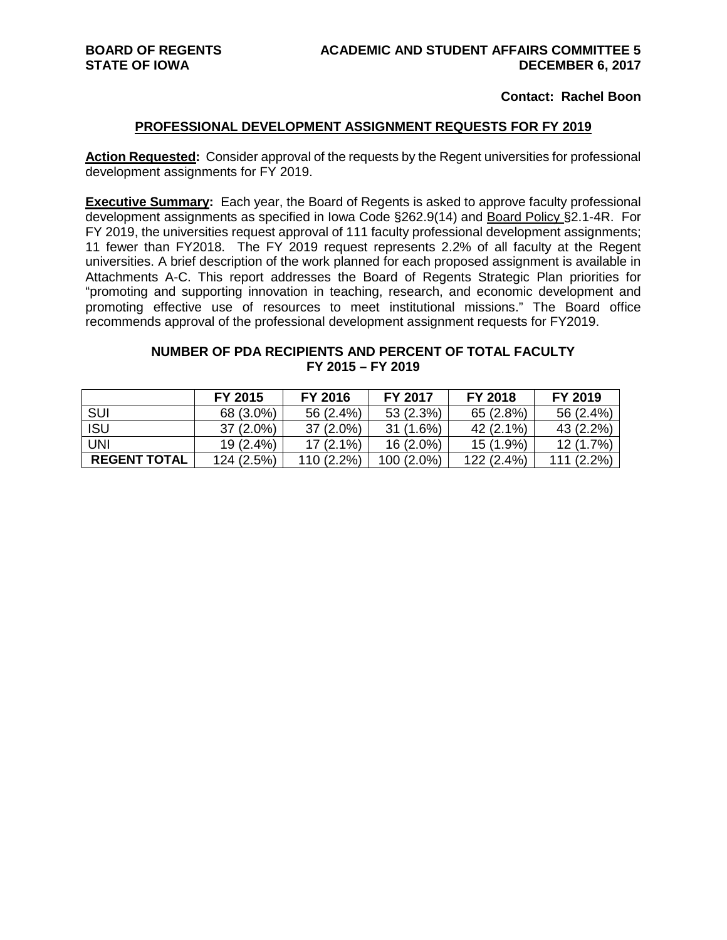### **Contact: Rachel Boon**

#### **PROFESSIONAL DEVELOPMENT ASSIGNMENT REQUESTS FOR FY 2019**

**Action Requested:** Consider approval of the requests by the Regent universities for professional development assignments for FY 2019.

**Executive Summary:** Each year, the Board of Regents is asked to approve faculty professional development assignments as specified in Iowa Code §262.9(14) and Board Policy §2.1-4R. For FY 2019, the universities request approval of 111 faculty professional development assignments; 11 fewer than FY2018. The FY 2019 request represents 2.2% of all faculty at the Regent universities. A brief description of the work planned for each proposed assignment is available in Attachments A-C. This report addresses the Board of Regents Strategic Plan priorities for "promoting and supporting innovation in teaching, research, and economic development and promoting effective use of resources to meet institutional missions." The Board office recommends approval of the professional development assignment requests for FY2019.

### **NUMBER OF PDA RECIPIENTS AND PERCENT OF TOTAL FACULTY FY 2015 – FY 2019**

|                     | FY 2015     | FY 2016     | <b>FY 2017</b> | FY 2018    | FY 2019      |
|---------------------|-------------|-------------|----------------|------------|--------------|
| <b>SUI</b>          | 68 (3.0%)   | 56 (2.4%)   | 53 (2.3%)      | 65 (2.8%)  | 56 (2.4%)    |
| <b>ISU</b>          | $37(2.0\%)$ | $37(2.0\%)$ | 31 (1.6%)      | 42 (2.1%)  | 43 (2.2%)    |
| <b>UNI</b>          | $19(2.4\%)$ | $17(2.1\%)$ | 16 (2.0%)      | 15 (1.9%)  | 12 (1.7%)    |
| <b>REGENT TOTAL</b> | 124 (2.5%)  | 110 (2.2%)  | 100 (2.0%)     | 122 (2.4%) | $111(2.2\%)$ |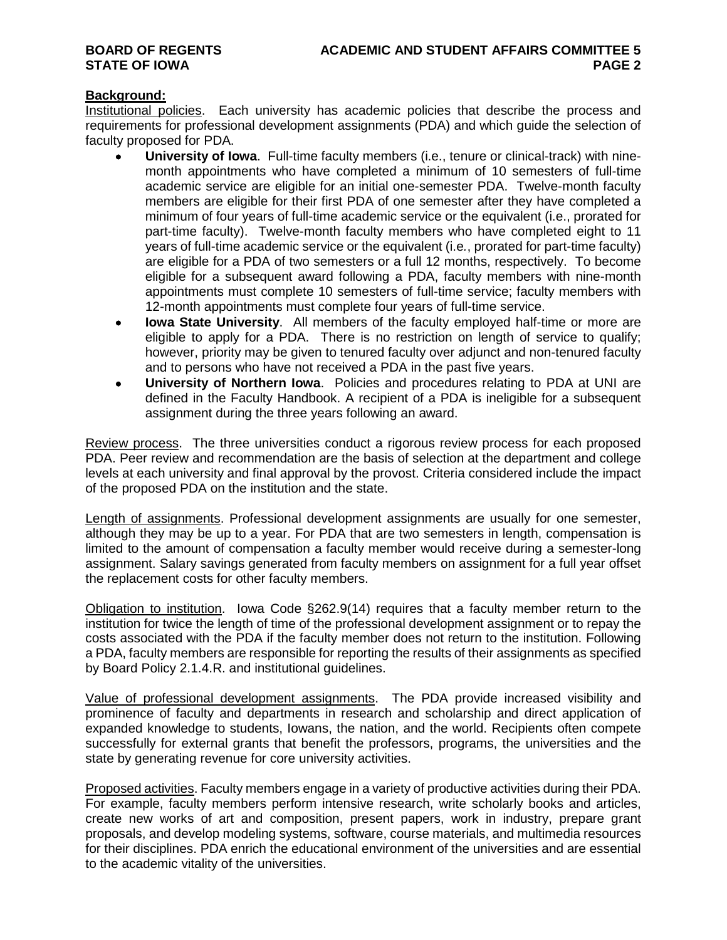## **Background:**

Institutional policies. Each university has academic policies that describe the process and requirements for professional development assignments (PDA) and which guide the selection of faculty proposed for PDA.

- **University of Iowa**. Full-time faculty members (i.e., tenure or clinical-track) with ninemonth appointments who have completed a minimum of 10 semesters of full-time academic service are eligible for an initial one-semester PDA. Twelve-month faculty members are eligible for their first PDA of one semester after they have completed a minimum of four years of full-time academic service or the equivalent (i.e., prorated for part-time faculty). Twelve-month faculty members who have completed eight to 11 years of full-time academic service or the equivalent (i.e*.*, prorated for part-time faculty) are eligible for a PDA of two semesters or a full 12 months, respectively. To become eligible for a subsequent award following a PDA, faculty members with nine-month appointments must complete 10 semesters of full-time service; faculty members with 12-month appointments must complete four years of full-time service.
- **Iowa State University**. All members of the faculty employed half-time or more are eligible to apply for a PDA. There is no restriction on length of service to qualify; however, priority may be given to tenured faculty over adjunct and non-tenured faculty and to persons who have not received a PDA in the past five years.
- **University of Northern Iowa**. Policies and procedures relating to PDA at UNI are defined in the Faculty Handbook. A recipient of a PDA is ineligible for a subsequent assignment during the three years following an award.

Review process. The three universities conduct a rigorous review process for each proposed PDA. Peer review and recommendation are the basis of selection at the department and college levels at each university and final approval by the provost. Criteria considered include the impact of the proposed PDA on the institution and the state.

Length of assignments. Professional development assignments are usually for one semester, although they may be up to a year. For PDA that are two semesters in length, compensation is limited to the amount of compensation a faculty member would receive during a semester-long assignment. Salary savings generated from faculty members on assignment for a full year offset the replacement costs for other faculty members.

Obligation to institution. Iowa Code §262.9(14) requires that a faculty member return to the institution for twice the length of time of the professional development assignment or to repay the costs associated with the PDA if the faculty member does not return to the institution. Following a PDA, faculty members are responsible for reporting the results of their assignments as specified by Board Policy 2.1.4.R. and institutional guidelines.

Value of professional development assignments. The PDA provide increased visibility and prominence of faculty and departments in research and scholarship and direct application of expanded knowledge to students, Iowans, the nation, and the world. Recipients often compete successfully for external grants that benefit the professors, programs, the universities and the state by generating revenue for core university activities.

Proposed activities. Faculty members engage in a variety of productive activities during their PDA. For example, faculty members perform intensive research, write scholarly books and articles, create new works of art and composition, present papers, work in industry, prepare grant proposals, and develop modeling systems, software, course materials, and multimedia resources for their disciplines. PDA enrich the educational environment of the universities and are essential to the academic vitality of the universities.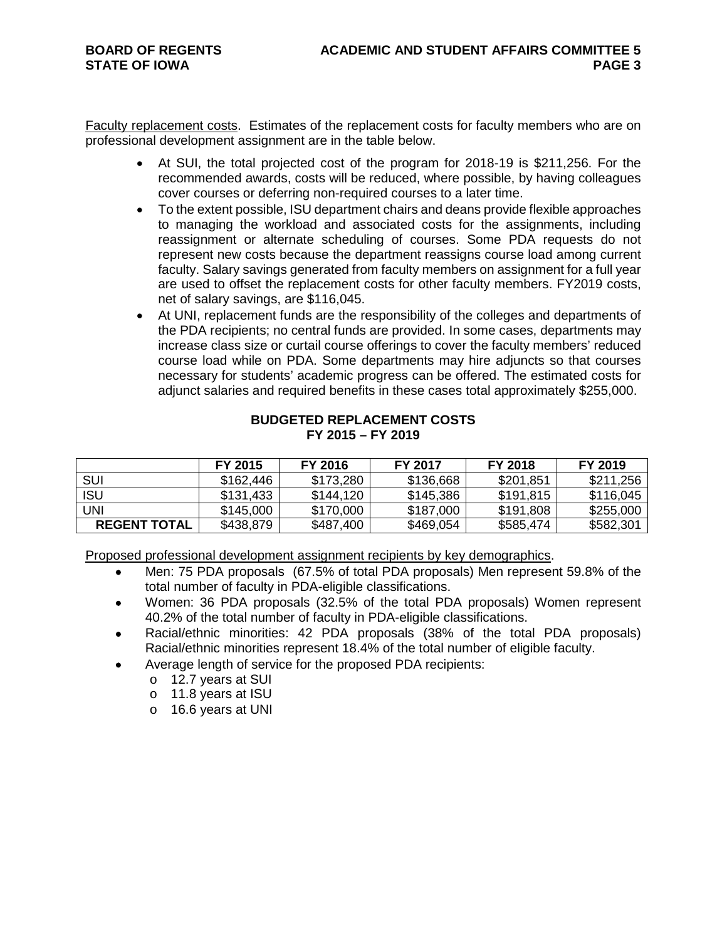Faculty replacement costs. Estimates of the replacement costs for faculty members who are on professional development assignment are in the table below.

- At SUI, the total projected cost of the program for 2018-19 is \$211,256. For the recommended awards, costs will be reduced, where possible, by having colleagues cover courses or deferring non-required courses to a later time.
- To the extent possible, ISU department chairs and deans provide flexible approaches to managing the workload and associated costs for the assignments, including reassignment or alternate scheduling of courses. Some PDA requests do not represent new costs because the department reassigns course load among current faculty. Salary savings generated from faculty members on assignment for a full year are used to offset the replacement costs for other faculty members. FY2019 costs, net of salary savings, are \$116,045.
- At UNI, replacement funds are the responsibility of the colleges and departments of the PDA recipients; no central funds are provided. In some cases, departments may increase class size or curtail course offerings to cover the faculty members' reduced course load while on PDA. Some departments may hire adjuncts so that courses necessary for students' academic progress can be offered. The estimated costs for adjunct salaries and required benefits in these cases total approximately \$255,000.

### **BUDGETED REPLACEMENT COSTS FY 2015 – FY 2019**

|                     | FY 2015   | FY 2016   | <b>FY 2017</b> | <b>FY 2018</b> | FY 2019   |
|---------------------|-----------|-----------|----------------|----------------|-----------|
| <b>SUI</b>          | \$162,446 | \$173,280 | \$136,668      | \$201,851      | \$211,256 |
| <b>ISU</b>          | \$131,433 | \$144,120 | \$145,386      | \$191,815      | \$116,045 |
| UNI                 | \$145,000 | \$170,000 | \$187,000      | \$191,808      | \$255,000 |
| <b>REGENT TOTAL</b> | \$438,879 | \$487,400 | \$469,054      | \$585,474      | \$582,301 |

Proposed professional development assignment recipients by key demographics.

- Men: 75 PDA proposals (67.5% of total PDA proposals) Men represent 59.8% of the total number of faculty in PDA-eligible classifications.
- Women: 36 PDA proposals (32.5% of the total PDA proposals) Women represent 40.2% of the total number of faculty in PDA-eligible classifications.
- Racial/ethnic minorities: 42 PDA proposals (38% of the total PDA proposals) Racial/ethnic minorities represent 18.4% of the total number of eligible faculty.
- Average length of service for the proposed PDA recipients:
	- o 12.7 years at SUI
	- o 11.8 years at ISU
	- o 16.6 years at UNI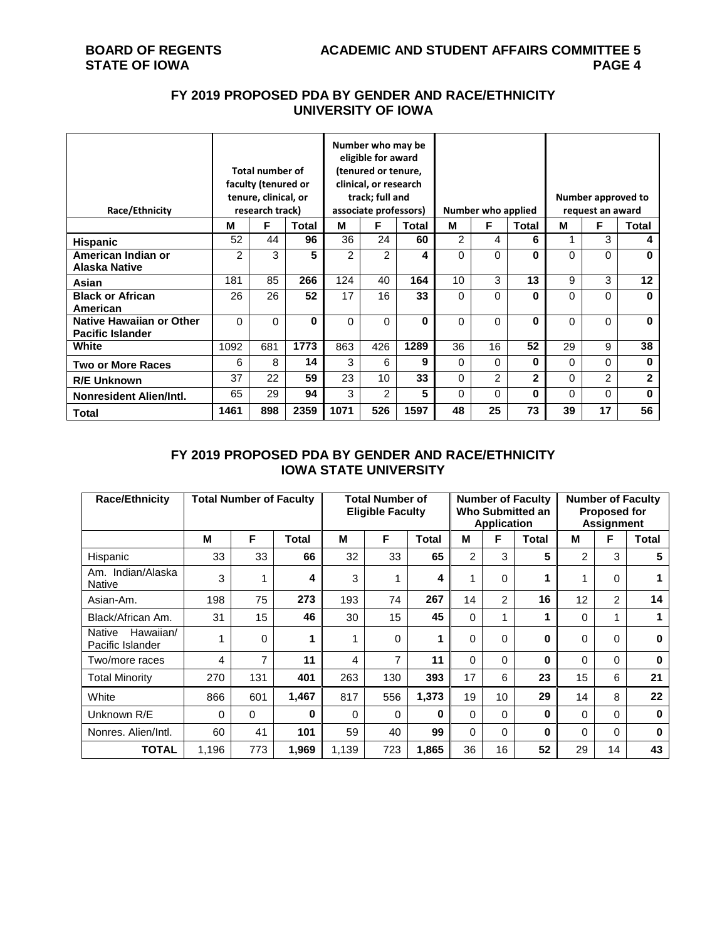## **FY 2019 PROPOSED PDA BY GENDER AND RACE/ETHNICITY UNIVERSITY OF IOWA**

| Race/Ethnicity                                             | <b>Total number of</b><br>faculty (tenured or<br>tenure, clinical, or<br>research track) |          |       | Number who may be<br>eligible for award<br>(tenured or tenure,<br>clinical, or research<br>track; full and<br>associate professors) |                |       |               | Number who applied |              | Number approved to<br>request an award |                |              |  |
|------------------------------------------------------------|------------------------------------------------------------------------------------------|----------|-------|-------------------------------------------------------------------------------------------------------------------------------------|----------------|-------|---------------|--------------------|--------------|----------------------------------------|----------------|--------------|--|
|                                                            | м                                                                                        | F        | Total | м                                                                                                                                   | F              | Total | м             | F                  | Total        | м                                      | F              | <b>Total</b> |  |
| <b>Hispanic</b>                                            | 52                                                                                       | 44       | 96    | 36                                                                                                                                  | 24             | 60    | $\mathcal{P}$ | 4                  | 6            |                                        | 3              | 4            |  |
| American Indian or<br><b>Alaska Native</b>                 | $\overline{2}$                                                                           | 3        | 5     | 2                                                                                                                                   | 2              | 4     | $\Omega$      | $\Omega$           | U            | 0                                      | $\Omega$       | $\bf{0}$     |  |
| Asian                                                      | 181                                                                                      | 85       | 266   | 124                                                                                                                                 | 40             | 164   | 10            | 3                  | 13           | 9                                      | 3              | 12           |  |
| <b>Black or African</b><br>American                        | 26                                                                                       | 26       | 52    | 17                                                                                                                                  | 16             | 33    | $\Omega$      | $\Omega$           | U            | 0                                      | $\Omega$       | $\bf{0}$     |  |
| <b>Native Hawaiian or Other</b><br><b>Pacific Islander</b> | $\Omega$                                                                                 | $\Omega$ | O     | $\Omega$                                                                                                                            | $\Omega$       | O     | $\Omega$      | $\Omega$           | O            | 0                                      | $\Omega$       | $\mathbf{0}$ |  |
| White                                                      | 1092                                                                                     | 681      | 1773  | 863                                                                                                                                 | 426            | 1289  | 36            | 16                 | 52           | 29                                     | 9              | 38           |  |
| <b>Two or More Races</b>                                   | 6                                                                                        | 8        | 14    | 3                                                                                                                                   | 6              | 9     | $\Omega$      | $\Omega$           | 0            | 0                                      | 0              | $\bf{0}$     |  |
| <b>R/E Unknown</b>                                         | 37                                                                                       | 22       | 59    | 23                                                                                                                                  | 10             | 33    | 0             | $\overline{2}$     | $\mathbf{2}$ | 0                                      | $\overline{c}$ | $\mathbf{2}$ |  |
| Nonresident Alien/Intl.                                    | 65                                                                                       | 29       | 94    | 3                                                                                                                                   | $\overline{2}$ | 5     | $\Omega$      | $\Omega$           | 0            | 0                                      | 0              | $\bf{0}$     |  |
| Total                                                      | 1461                                                                                     | 898      | 2359  | 1071                                                                                                                                | 526            | 1597  | 48            | 25                 | 73           | 39                                     | 17             | 56           |  |

## **FY 2019 PROPOSED PDA BY GENDER AND RACE/ETHNICITY IOWA STATE UNIVERSITY**

| <b>Race/Ethnicity</b>                   | <b>Total Number of Faculty</b> |                |          | <b>Total Number of</b><br><b>Eligible Faculty</b> |     |              |                | <b>Application</b> | <b>Number of Faculty</b><br>Who Submitted an | <b>Number of Faculty</b><br><b>Proposed for</b><br><b>Assignment</b> |                |          |
|-----------------------------------------|--------------------------------|----------------|----------|---------------------------------------------------|-----|--------------|----------------|--------------------|----------------------------------------------|----------------------------------------------------------------------|----------------|----------|
|                                         | M                              | F              | Total    | M                                                 | F   | <b>Total</b> | M              | F                  | <b>Total</b>                                 | M                                                                    | F              | Total    |
| Hispanic                                | 33                             | 33             | 66       | 32                                                | 33  | 65           | $\overline{2}$ | 3                  | 5                                            | $\overline{2}$                                                       | 3              | 5        |
| Am. Indian/Alaska<br><b>Native</b>      | 3                              | 1              | 4        | 3                                                 | 1   | 4            | 1              | $\Omega$           | 1                                            |                                                                      | $\Omega$       |          |
| Asian-Am.                               | 198                            | 75             | 273      | 193                                               | 74  | 267          | 14             | $\overline{2}$     | 16                                           | 12                                                                   | $\overline{2}$ | 14       |
| Black/African Am.                       | 31                             | 15             | 46       | 30                                                | 15  | 45           | $\Omega$       | 1                  | 1                                            | $\Omega$                                                             | 1              |          |
| Hawaiian/<br>Native<br>Pacific Islander |                                | $\Omega$       |          | 1                                                 | 0   | 1            | 0              | $\Omega$           | 0                                            | 0                                                                    | 0              | 0        |
| Two/more races                          | 4                              | $\overline{7}$ | 11       | 4                                                 | 7   | 11           | $\Omega$       | $\Omega$           | 0                                            | $\Omega$                                                             | 0              | $\bf{0}$ |
| <b>Total Minority</b>                   | 270                            | 131            | 401      | 263                                               | 130 | 393          | 17             | 6                  | 23                                           | 15                                                                   | 6              | 21       |
| White                                   | 866                            | 601            | 1,467    | 817                                               | 556 | 1,373        | 19             | 10                 | 29                                           | 14                                                                   | 8              | 22       |
| Unknown R/E                             | $\Omega$                       | $\Omega$       | $\bf{0}$ | $\Omega$                                          | 0   | 0            | $\Omega$       | $\Omega$           | 0                                            | $\Omega$                                                             | $\Omega$       | $\bf{0}$ |
| Nonres, Alien/Intl.                     | 60                             | 41             | 101      | 59                                                | 40  | 99           | $\Omega$       | $\Omega$           | 0                                            | $\Omega$                                                             | $\Omega$       | $\bf{0}$ |
| <b>TOTAL</b>                            | 1.196                          | 773            | 1,969    | 1.139                                             | 723 | 1.865        | 36             | 16                 | 52                                           | 29                                                                   | 14             | 43       |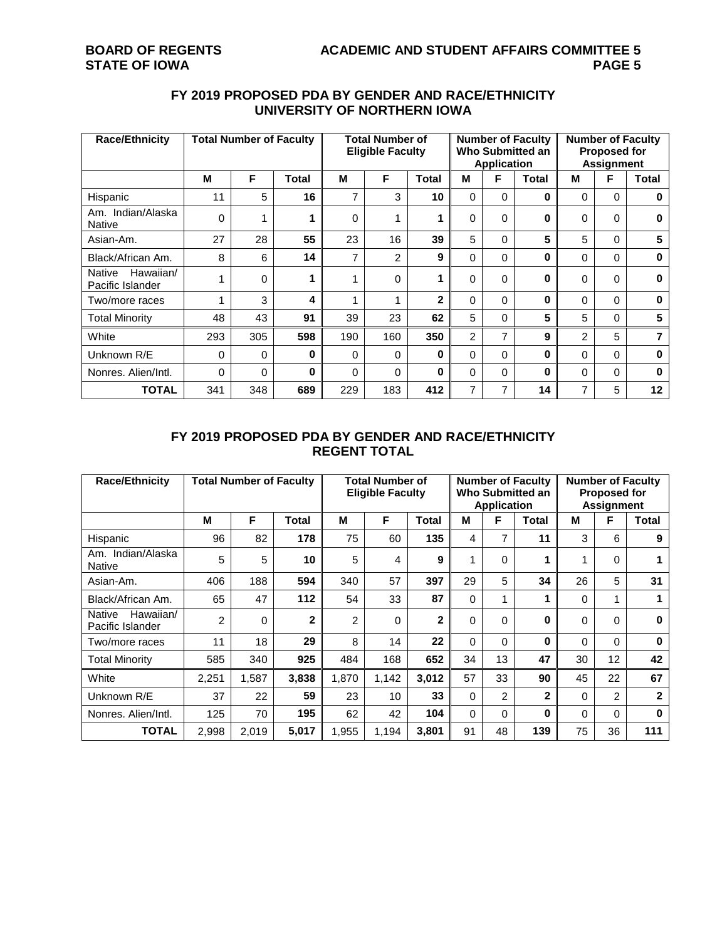| <b>Race/Ethnicity</b>                   | <b>Total Number of Faculty</b> |          |              | <b>Total Number of</b><br><b>Eligible Faculty</b> |                |       |                | <b>Application</b> | <b>Number of Faculty</b><br>Who Submitted an | <b>Number of Faculty</b><br><b>Proposed for</b><br><b>Assignment</b> |          |          |
|-----------------------------------------|--------------------------------|----------|--------------|---------------------------------------------------|----------------|-------|----------------|--------------------|----------------------------------------------|----------------------------------------------------------------------|----------|----------|
|                                         | м                              | F        | <b>Total</b> | М                                                 | F              | Total | м              | F                  | <b>Total</b>                                 | м                                                                    | F        | Total    |
| Hispanic                                | 11                             | 5        | 16           | 7                                                 | 3              | 10    | $\Omega$       | $\Omega$           | 0                                            | $\Omega$                                                             | $\Omega$ | $\bf{0}$ |
| Am. Indian/Alaska<br><b>Native</b>      | $\Omega$                       | и        | 4            | $\Omega$                                          |                | 1     | $\Omega$       | $\Omega$           | 0                                            | 0                                                                    | $\Omega$ | 0        |
| Asian-Am.                               | 27                             | 28       | 55           | 23                                                | 16             | 39    | 5              | $\Omega$           | 5                                            | 5                                                                    | $\Omega$ | 5        |
| Black/African Am.                       | 8                              | 6        | 14           | 7                                                 | $\overline{2}$ | 9     | $\Omega$       | 0                  | 0                                            | 0                                                                    | $\Omega$ | 0        |
| Hawaiian/<br>Native<br>Pacific Islander |                                | $\Omega$ | ۹            | 4                                                 | 0              | 1     | $\Omega$       | $\Omega$           | 0                                            | 0                                                                    | $\Omega$ | $\bf{0}$ |
| Two/more races                          |                                | 3        | 4            | ۸                                                 |                | 2     | $\Omega$       | $\Omega$           | 0                                            | 0                                                                    | $\Omega$ | $\bf{0}$ |
| <b>Total Minority</b>                   | 48                             | 43       | 91           | 39                                                | 23             | 62    | 5              | $\Omega$           | 5                                            | 5                                                                    | $\Omega$ | 5        |
| White                                   | 293                            | 305      | 598          | 190                                               | 160            | 350   | $\overline{2}$ | 7                  | 9                                            | 2                                                                    | 5        |          |
| Unknown R/E                             | 0                              | $\Omega$ | $\bf{0}$     | $\mathbf{0}$                                      | 0              | 0     | $\Omega$       | $\Omega$           | 0                                            | $\Omega$                                                             | 0        | O        |
| Nonres, Alien/Intl.                     | $\Omega$                       | $\Omega$ | $\bf{0}$     | $\Omega$                                          | 0              | 0     | $\Omega$       | $\Omega$           | 0                                            | $\Omega$                                                             | $\Omega$ | $\bf{0}$ |
| TOTAL                                   | 341                            | 348      | 689          | 229                                               | 183            | 412   | 7              | 7                  | 14                                           | 7                                                                    | 5        | 12       |

## **FY 2019 PROPOSED PDA BY GENDER AND RACE/ETHNICITY UNIVERSITY OF NORTHERN IOWA**

## **FY 2019 PROPOSED PDA BY GENDER AND RACE/ETHNICITY REGENT TOTAL**

| <b>Race/Ethnicity</b>                   | <b>Total Number of Faculty</b> |          |                | <b>Total Number of</b><br><b>Eligible Faculty</b> |       |       |          | <b>Application</b> | <b>Number of Faculty</b><br>Who Submitted an | <b>Number of Faculty</b><br><b>Proposed for</b><br><b>Assignment</b> |                |              |
|-----------------------------------------|--------------------------------|----------|----------------|---------------------------------------------------|-------|-------|----------|--------------------|----------------------------------------------|----------------------------------------------------------------------|----------------|--------------|
|                                         | М                              | F        | Total          | М                                                 | F     | Total | М        | F                  | Total                                        | м                                                                    | F              | <b>Total</b> |
| Hispanic                                | 96                             | 82       | 178            | 75                                                | 60    | 135   | 4        | 7                  | 11                                           | 3                                                                    | 6              | 9            |
| Am. Indian/Alaska<br><b>Native</b>      | 5                              | 5        | 10             | 5                                                 | 4     | 9     | 1        | $\Omega$           | 1                                            | 1                                                                    | $\Omega$       |              |
| Asian-Am.                               | 406                            | 188      | 594            | 340                                               | 57    | 397   | 29       | 5                  | 34                                           | 26                                                                   | 5              | 31           |
| Black/African Am.                       | 65                             | 47       | 112            | 54                                                | 33    | 87    | 0        | 1                  | 1                                            | $\Omega$                                                             |                |              |
| Hawaiian/<br>Native<br>Pacific Islander | 2                              | $\Omega$ | $\overline{2}$ | 2                                                 | 0     | 2     | 0        | 0                  | 0                                            | 0                                                                    | 0              | $\bf{0}$     |
| Two/more races                          | 11                             | 18       | 29             | 8                                                 | 14    | 22    | 0        | $\Omega$           | 0                                            | $\Omega$                                                             | $\Omega$       | $\bf{0}$     |
| <b>Total Minority</b>                   | 585                            | 340      | 925            | 484                                               | 168   | 652   | 34       | 13                 | 47                                           | 30                                                                   | 12             | 42           |
| White                                   | 2,251                          | 1,587    | 3,838          | 1,870                                             | 1,142 | 3,012 | 57       | 33                 | 90                                           | 45                                                                   | 22             | 67           |
| Unknown R/E                             | 37                             | 22       | 59             | 23                                                | 10    | 33    | 0        | $\overline{2}$     | $\mathbf{2}$                                 | $\Omega$                                                             | $\overline{2}$ | $\mathbf{2}$ |
| Nonres, Alien/Intl.                     | 125                            | 70       | 195            | 62                                                | 42    | 104   | $\Omega$ | $\Omega$           | 0                                            | $\Omega$                                                             | $\Omega$       | $\bf{0}$     |
| <b>TOTAL</b>                            | 2,998                          | 2,019    | 5,017          | 1.955                                             | 1,194 | 3.801 | 91       | 48                 | 139                                          | 75                                                                   | 36             | 111          |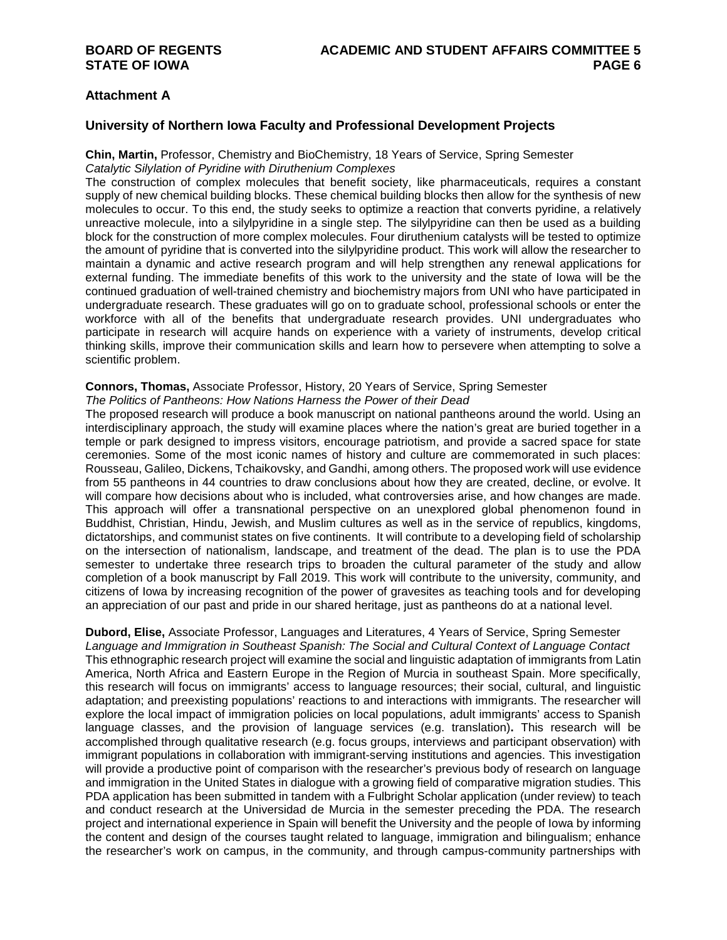### **Attachment A**

#### **University of Northern Iowa Faculty and Professional Development Projects**

#### **Chin, Martin,** Professor, Chemistry and BioChemistry, 18 Years of Service, Spring Semester *Catalytic Silylation of Pyridine with Diruthenium Complexes*

The construction of complex molecules that benefit society, like pharmaceuticals, requires a constant supply of new chemical building blocks. These chemical building blocks then allow for the synthesis of new molecules to occur. To this end, the study seeks to optimize a reaction that converts pyridine, a relatively unreactive molecule, into a silylpyridine in a single step. The silylpyridine can then be used as a building block for the construction of more complex molecules. Four diruthenium catalysts will be tested to optimize the amount of pyridine that is converted into the silylpyridine product. This work will allow the researcher to maintain a dynamic and active research program and will help strengthen any renewal applications for external funding. The immediate benefits of this work to the university and the state of Iowa will be the continued graduation of well-trained chemistry and biochemistry majors from UNI who have participated in undergraduate research. These graduates will go on to graduate school, professional schools or enter the workforce with all of the benefits that undergraduate research provides. UNI undergraduates who participate in research will acquire hands on experience with a variety of instruments, develop critical thinking skills, improve their communication skills and learn how to persevere when attempting to solve a scientific problem.

#### **Connors, Thomas,** Associate Professor, History, 20 Years of Service, Spring Semester

#### *The Politics of Pantheons: How Nations Harness the Power of their Dead*

The proposed research will produce a book manuscript on national pantheons around the world. Using an interdisciplinary approach, the study will examine places where the nation's great are buried together in a temple or park designed to impress visitors, encourage patriotism, and provide a sacred space for state ceremonies. Some of the most iconic names of history and culture are commemorated in such places: Rousseau, Galileo, Dickens, Tchaikovsky, and Gandhi, among others. The proposed work will use evidence from 55 pantheons in 44 countries to draw conclusions about how they are created, decline, or evolve. It will compare how decisions about who is included, what controversies arise, and how changes are made. This approach will offer a transnational perspective on an unexplored global phenomenon found in Buddhist, Christian, Hindu, Jewish, and Muslim cultures as well as in the service of republics, kingdoms, dictatorships, and communist states on five continents. It will contribute to a developing field of scholarship on the intersection of nationalism, landscape, and treatment of the dead. The plan is to use the PDA semester to undertake three research trips to broaden the cultural parameter of the study and allow completion of a book manuscript by Fall 2019. This work will contribute to the university, community, and citizens of Iowa by increasing recognition of the power of gravesites as teaching tools and for developing an appreciation of our past and pride in our shared heritage, just as pantheons do at a national level.

## **Dubord, Elise,** Associate Professor, Languages and Literatures, 4 Years of Service, Spring Semester

*Language and Immigration in Southeast Spanish: The Social and Cultural Context of Language Contact* This ethnographic research project will examine the social and linguistic adaptation of immigrants from Latin America, North Africa and Eastern Europe in the Region of Murcia in southeast Spain. More specifically, this research will focus on immigrants' access to language resources; their social, cultural, and linguistic adaptation; and preexisting populations' reactions to and interactions with immigrants. The researcher will explore the local impact of immigration policies on local populations, adult immigrants' access to Spanish language classes, and the provision of language services (e.g. translation)**.** This research will be accomplished through qualitative research (e.g. focus groups, interviews and participant observation) with immigrant populations in collaboration with immigrant-serving institutions and agencies. This investigation will provide a productive point of comparison with the researcher's previous body of research on language and immigration in the United States in dialogue with a growing field of comparative migration studies. This PDA application has been submitted in tandem with a Fulbright Scholar application (under review) to teach and conduct research at the Universidad de Murcia in the semester preceding the PDA. The research project and international experience in Spain will benefit the University and the people of Iowa by informing the content and design of the courses taught related to language, immigration and bilingualism; enhance the researcher's work on campus, in the community, and through campus-community partnerships with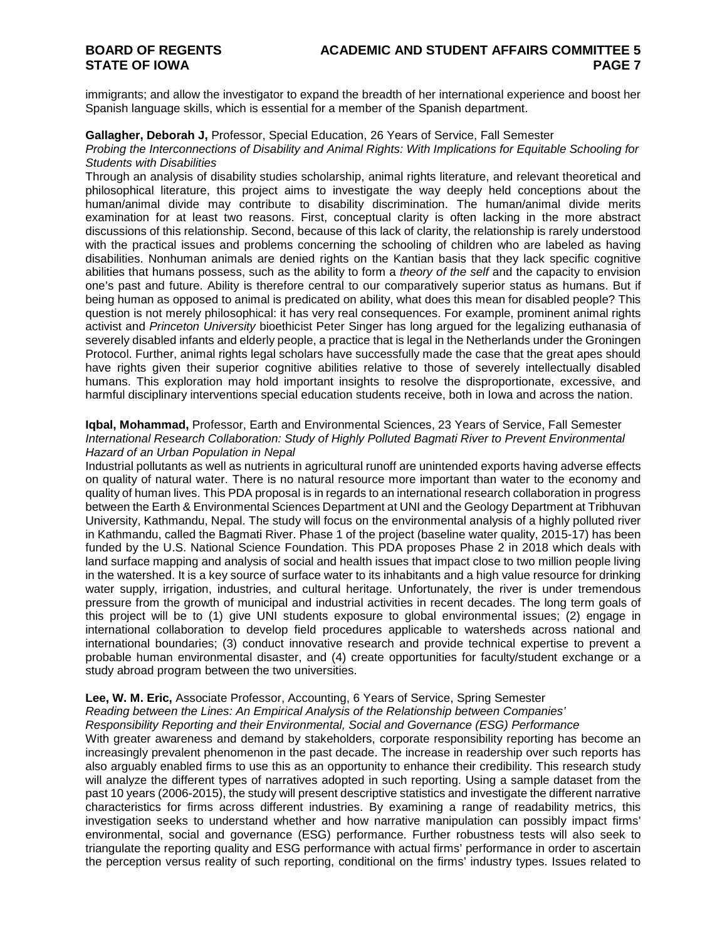immigrants; and allow the investigator to expand the breadth of her international experience and boost her Spanish language skills, which is essential for a member of the Spanish department.

#### **Gallagher, Deborah J,** Professor, Special Education, 26 Years of Service, Fall Semester

#### *Probing the Interconnections of Disability and Animal Rights: With Implications for Equitable Schooling for Students with Disabilities*

Through an analysis of disability studies scholarship, animal rights literature, and relevant theoretical and philosophical literature, this project aims to investigate the way deeply held conceptions about the human/animal divide may contribute to disability discrimination. The human/animal divide merits examination for at least two reasons. First, conceptual clarity is often lacking in the more abstract discussions of this relationship. Second, because of this lack of clarity, the relationship is rarely understood with the practical issues and problems concerning the schooling of children who are labeled as having disabilities. Nonhuman animals are denied rights on the Kantian basis that they lack specific cognitive abilities that humans possess, such as the ability to form a *theory of the self* and the capacity to envision one's past and future. Ability is therefore central to our comparatively superior status as humans. But if being human as opposed to animal is predicated on ability, what does this mean for disabled people? This question is not merely philosophical: it has very real consequences. For example, prominent animal rights activist and *Princeton University* bioethicist Peter Singer has long argued for the legalizing euthanasia of severely disabled infants and elderly people, a practice that is legal in the Netherlands under the Groningen Protocol. Further, animal rights legal scholars have successfully made the case that the great apes should have rights given their superior cognitive abilities relative to those of severely intellectually disabled humans. This exploration may hold important insights to resolve the disproportionate, excessive, and harmful disciplinary interventions special education students receive, both in Iowa and across the nation.

#### **Iqbal, Mohammad,** Professor, Earth and Environmental Sciences, 23 Years of Service, Fall Semester *International Research Collaboration: Study of Highly Polluted Bagmati River to Prevent Environmental Hazard of an Urban Population in Nepal*

Industrial pollutants as well as nutrients in agricultural runoff are unintended exports having adverse effects on quality of natural water. There is no natural resource more important than water to the economy and quality of human lives. This PDA proposal is in regards to an international research collaboration in progress between the Earth & Environmental Sciences Department at UNI and the Geology Department at Tribhuvan University, Kathmandu, Nepal. The study will focus on the environmental analysis of a highly polluted river in Kathmandu, called the Bagmati River. Phase 1 of the project (baseline water quality, 2015-17) has been funded by the U.S. National Science Foundation. This PDA proposes Phase 2 in 2018 which deals with land surface mapping and analysis of social and health issues that impact close to two million people living in the watershed. It is a key source of surface water to its inhabitants and a high value resource for drinking water supply, irrigation, industries, and cultural heritage. Unfortunately, the river is under tremendous pressure from the growth of municipal and industrial activities in recent decades. The long term goals of this project will be to (1) give UNI students exposure to global environmental issues; (2) engage in international collaboration to develop field procedures applicable to watersheds across national and international boundaries; (3) conduct innovative research and provide technical expertise to prevent a probable human environmental disaster, and (4) create opportunities for faculty/student exchange or a study abroad program between the two universities.

## **Lee, W. M. Eric,** Associate Professor, Accounting, 6 Years of Service, Spring Semester

*Reading between the Lines: An Empirical Analysis of the Relationship between Companies'* 

*Responsibility Reporting and their Environmental, Social and Governance (ESG) Performance*

With greater awareness and demand by stakeholders, corporate responsibility reporting has become an increasingly prevalent phenomenon in the past decade. The increase in readership over such reports has also arguably enabled firms to use this as an opportunity to enhance their credibility. This research study will analyze the different types of narratives adopted in such reporting. Using a sample dataset from the past 10 years (2006-2015), the study will present descriptive statistics and investigate the different narrative characteristics for firms across different industries. By examining a range of readability metrics, this investigation seeks to understand whether and how narrative manipulation can possibly impact firms' environmental, social and governance (ESG) performance. Further robustness tests will also seek to triangulate the reporting quality and ESG performance with actual firms' performance in order to ascertain the perception versus reality of such reporting, conditional on the firms' industry types. Issues related to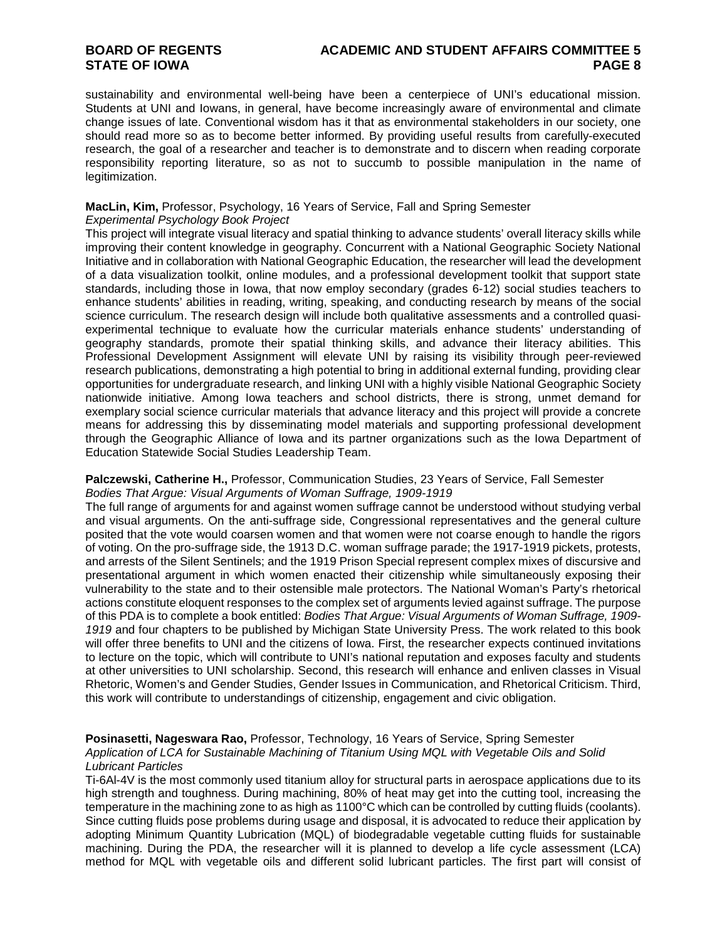## **BOARD OF REGENTS ACADEMIC AND STUDENT AFFAIRS COMMITTEE 5**

sustainability and environmental well-being have been a centerpiece of UNI's educational mission. Students at UNI and Iowans, in general, have become increasingly aware of environmental and climate change issues of late. Conventional wisdom has it that as environmental stakeholders in our society, one should read more so as to become better informed. By providing useful results from carefully-executed research, the goal of a researcher and teacher is to demonstrate and to discern when reading corporate responsibility reporting literature, so as not to succumb to possible manipulation in the name of legitimization.

### **MacLin, Kim,** Professor, Psychology, 16 Years of Service, Fall and Spring Semester

#### *Experimental Psychology Book Project*

This project will integrate visual literacy and spatial thinking to advance students' overall literacy skills while improving their content knowledge in geography. Concurrent with a National Geographic Society National Initiative and in collaboration with National Geographic Education, the researcher will lead the development of a data visualization toolkit, online modules, and a professional development toolkit that support state standards, including those in Iowa, that now employ secondary (grades 6-12) social studies teachers to enhance students' abilities in reading, writing, speaking, and conducting research by means of the social science curriculum. The research design will include both qualitative assessments and a controlled quasiexperimental technique to evaluate how the curricular materials enhance students' understanding of geography standards, promote their spatial thinking skills, and advance their literacy abilities. This Professional Development Assignment will elevate UNI by raising its visibility through peer-reviewed research publications, demonstrating a high potential to bring in additional external funding, providing clear opportunities for undergraduate research, and linking UNI with a highly visible National Geographic Society nationwide initiative. Among Iowa teachers and school districts, there is strong, unmet demand for exemplary social science curricular materials that advance literacy and this project will provide a concrete means for addressing this by disseminating model materials and supporting professional development through the Geographic Alliance of Iowa and its partner organizations such as the Iowa Department of Education Statewide Social Studies Leadership Team.

#### **Palczewski, Catherine H.,** Professor, Communication Studies, 23 Years of Service, Fall Semester *Bodies That Argue: Visual Arguments of Woman Suffrage, 1909-1919*

The full range of arguments for and against women suffrage cannot be understood without studying verbal and visual arguments. On the anti-suffrage side, Congressional representatives and the general culture posited that the vote would coarsen women and that women were not coarse enough to handle the rigors of voting. On the pro-suffrage side, the 1913 D.C. woman suffrage parade; the 1917-1919 pickets, protests, and arrests of the Silent Sentinels; and the 1919 Prison Special represent complex mixes of discursive and presentational argument in which women enacted their citizenship while simultaneously exposing their vulnerability to the state and to their ostensible male protectors. The National Woman's Party's rhetorical actions constitute eloquent responses to the complex set of arguments levied against suffrage. The purpose of this PDA is to complete a book entitled: *Bodies That Argue: Visual Arguments of Woman Suffrage, 1909- 1919* and four chapters to be published by Michigan State University Press. The work related to this book will offer three benefits to UNI and the citizens of Iowa. First, the researcher expects continued invitations to lecture on the topic, which will contribute to UNI's national reputation and exposes faculty and students at other universities to UNI scholarship. Second, this research will enhance and enliven classes in Visual Rhetoric, Women's and Gender Studies, Gender Issues in Communication, and Rhetorical Criticism. Third, this work will contribute to understandings of citizenship, engagement and civic obligation.

#### **Posinasetti, Nageswara Rao,** Professor, Technology, 16 Years of Service, Spring Semester *Application of LCA for Sustainable Machining of Titanium Using MQL with Vegetable Oils and Solid Lubricant Particles*

Ti-6Al-4V is the most commonly used titanium alloy for structural parts in aerospace applications due to its high strength and toughness. During machining, 80% of heat may get into the cutting tool, increasing the temperature in the machining zone to as high as 1100°C which can be controlled by cutting fluids (coolants). Since cutting fluids pose problems during usage and disposal, it is advocated to reduce their application by adopting Minimum Quantity Lubrication (MQL) of biodegradable vegetable cutting fluids for sustainable machining. During the PDA, the researcher will it is planned to develop a life cycle assessment (LCA) method for MQL with vegetable oils and different solid lubricant particles. The first part will consist of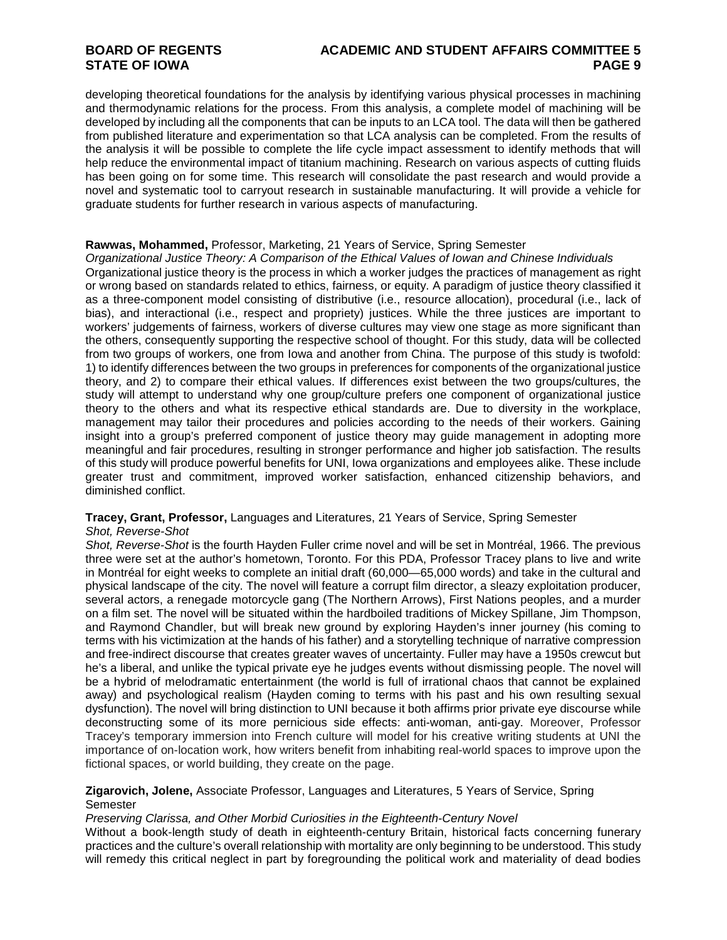# **BOARD OF REGENTS ACADEMIC AND STUDENT AFFAIRS COMMITTEE 5**

developing theoretical foundations for the analysis by identifying various physical processes in machining and thermodynamic relations for the process. From this analysis, a complete model of machining will be developed by including all the components that can be inputs to an LCA tool. The data will then be gathered from published literature and experimentation so that LCA analysis can be completed. From the results of the analysis it will be possible to complete the life cycle impact assessment to identify methods that will help reduce the environmental impact of titanium machining. Research on various aspects of cutting fluids has been going on for some time. This research will consolidate the past research and would provide a novel and systematic tool to carryout research in sustainable manufacturing. It will provide a vehicle for graduate students for further research in various aspects of manufacturing.

#### **Rawwas, Mohammed,** Professor, Marketing, 21 Years of Service, Spring Semester

*Organizational Justice Theory: A Comparison of the Ethical Values of Iowan and Chinese Individuals* Organizational justice theory is the process in which a worker judges the practices of management as right or wrong based on standards related to ethics, fairness, or equity. A paradigm of justice theory classified it as a three-component model consisting of distributive (i.e., resource allocation), procedural (i.e., lack of bias), and interactional (i.e., respect and propriety) justices. While the three justices are important to workers' judgements of fairness, workers of diverse cultures may view one stage as more significant than the others, consequently supporting the respective school of thought. For this study, data will be collected from two groups of workers, one from Iowa and another from China. The purpose of this study is twofold: 1) to identify differences between the two groups in preferences for components of the organizational justice theory, and 2) to compare their ethical values. If differences exist between the two groups/cultures, the study will attempt to understand why one group/culture prefers one component of organizational justice theory to the others and what its respective ethical standards are. Due to diversity in the workplace, management may tailor their procedures and policies according to the needs of their workers. Gaining insight into a group's preferred component of justice theory may guide management in adopting more meaningful and fair procedures, resulting in stronger performance and higher job satisfaction. The results of this study will produce powerful benefits for UNI, Iowa organizations and employees alike. These include greater trust and commitment, improved worker satisfaction, enhanced citizenship behaviors, and diminished conflict.

#### **Tracey, Grant, Professor,** Languages and Literatures, 21 Years of Service, Spring Semester

#### *Shot, Reverse-Shot*

*Shot, Reverse-Shot* is the fourth Hayden Fuller crime novel and will be set in Montréal, 1966. The previous three were set at the author's hometown, Toronto. For this PDA, Professor Tracey plans to live and write in Montréal for eight weeks to complete an initial draft (60,000—65,000 words) and take in the cultural and physical landscape of the city. The novel will feature a corrupt film director, a sleazy exploitation producer, several actors, a renegade motorcycle gang (The Northern Arrows), First Nations peoples, and a murder on a film set. The novel will be situated within the hardboiled traditions of Mickey Spillane, Jim Thompson, and Raymond Chandler, but will break new ground by exploring Hayden's inner journey (his coming to terms with his victimization at the hands of his father) and a storytelling technique of narrative compression and free-indirect discourse that creates greater waves of uncertainty. Fuller may have a 1950s crewcut but he's a liberal, and unlike the typical private eye he judges events without dismissing people. The novel will be a hybrid of melodramatic entertainment (the world is full of irrational chaos that cannot be explained away) and psychological realism (Hayden coming to terms with his past and his own resulting sexual dysfunction). The novel will bring distinction to UNI because it both affirms prior private eye discourse while deconstructing some of its more pernicious side effects: anti-woman, anti-gay. Moreover, Professor Tracey's temporary immersion into French culture will model for his creative writing students at UNI the importance of on-location work, how writers benefit from inhabiting real-world spaces to improve upon the fictional spaces, or world building, they create on the page.

#### **Zigarovich, Jolene,** Associate Professor, Languages and Literatures, 5 Years of Service, Spring Semester

#### *Preserving Clarissa, and Other Morbid Curiosities in the Eighteenth-Century Novel*

Without a book-length study of death in eighteenth-century Britain, historical facts concerning funerary practices and the culture's overall relationship with mortality are only beginning to be understood. This study will remedy this critical neglect in part by foregrounding the political work and materiality of dead bodies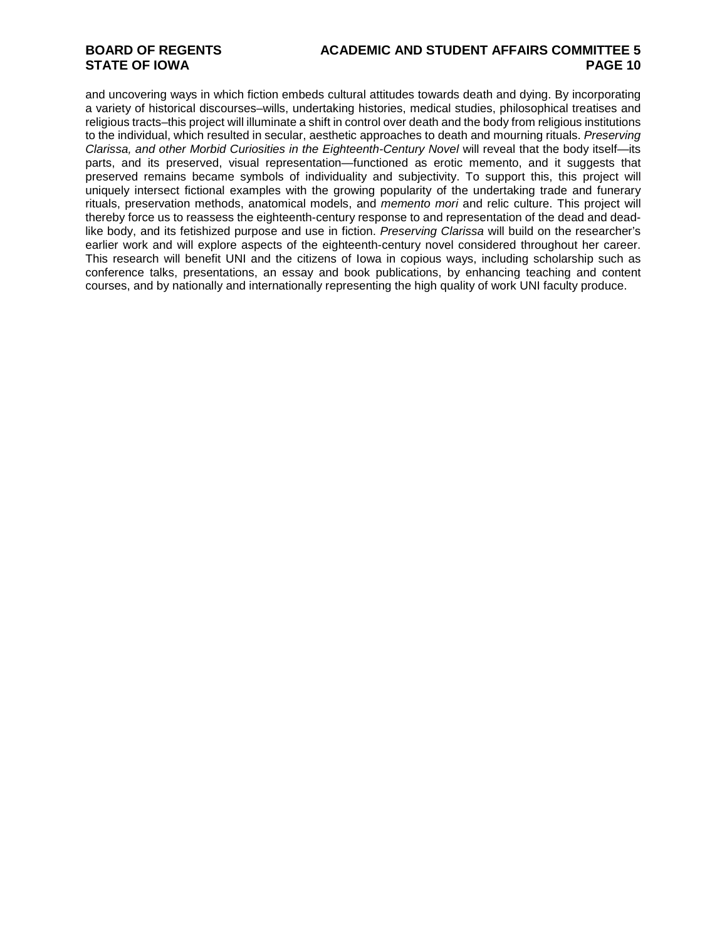## **BOARD OF REGENTS ACADEMIC AND STUDENT AFFAIRS COMMITTEE 5**

and uncovering ways in which fiction embeds cultural attitudes towards death and dying. By incorporating a variety of historical discourses–wills, undertaking histories, medical studies, philosophical treatises and religious tracts–this project will illuminate a shift in control over death and the body from religious institutions to the individual, which resulted in secular, aesthetic approaches to death and mourning rituals. *Preserving Clarissa, and other Morbid Curiosities in the Eighteenth-Century Novel* will reveal that the body itself—its parts, and its preserved, visual representation—functioned as erotic memento, and it suggests that preserved remains became symbols of individuality and subjectivity. To support this, this project will uniquely intersect fictional examples with the growing popularity of the undertaking trade and funerary rituals, preservation methods, anatomical models, and *memento mori* and relic culture. This project will thereby force us to reassess the eighteenth-century response to and representation of the dead and deadlike body, and its fetishized purpose and use in fiction. *Preserving Clarissa* will build on the researcher's earlier work and will explore aspects of the eighteenth-century novel considered throughout her career. This research will benefit UNI and the citizens of Iowa in copious ways, including scholarship such as conference talks, presentations, an essay and book publications, by enhancing teaching and content courses, and by nationally and internationally representing the high quality of work UNI faculty produce.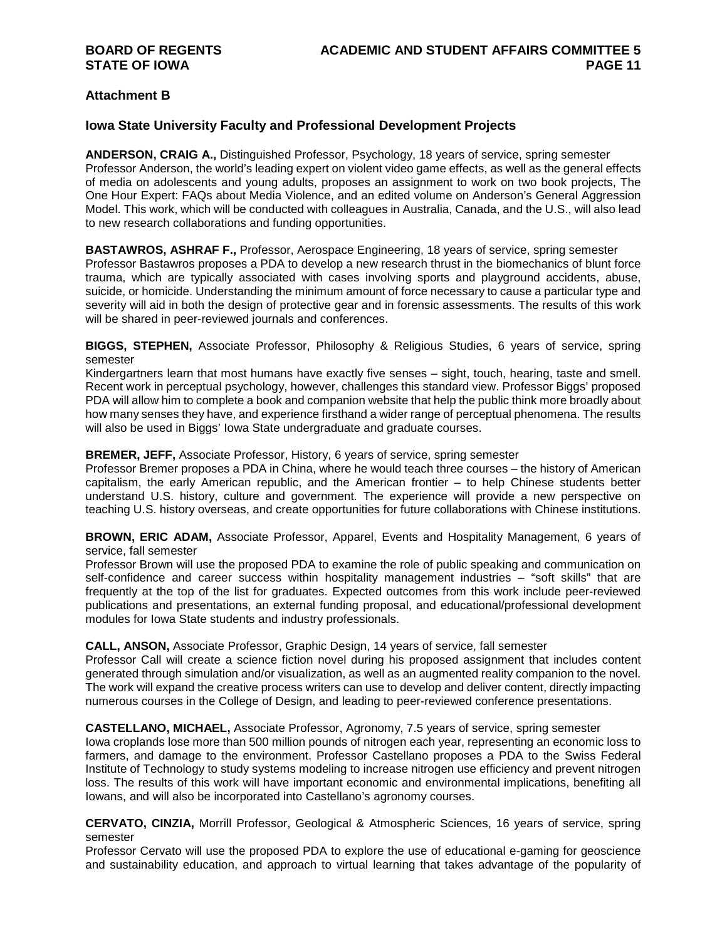### **Attachment B**

### **Iowa State University Faculty and Professional Development Projects**

**ANDERSON, CRAIG A.,** Distinguished Professor, Psychology, 18 years of service, spring semester Professor Anderson, the world's leading expert on violent video game effects, as well as the general effects of media on adolescents and young adults, proposes an assignment to work on two book projects, The One Hour Expert: FAQs about Media Violence, and an edited volume on Anderson's General Aggression Model. This work, which will be conducted with colleagues in Australia, Canada, and the U.S., will also lead to new research collaborations and funding opportunities.

**BASTAWROS, ASHRAF F.,** Professor, Aerospace Engineering, 18 years of service, spring semester Professor Bastawros proposes a PDA to develop a new research thrust in the biomechanics of blunt force trauma, which are typically associated with cases involving sports and playground accidents, abuse, suicide, or homicide. Understanding the minimum amount of force necessary to cause a particular type and severity will aid in both the design of protective gear and in forensic assessments. The results of this work will be shared in peer-reviewed journals and conferences.

**BIGGS, STEPHEN,** Associate Professor, Philosophy & Religious Studies, 6 years of service, spring semester

Kindergartners learn that most humans have exactly five senses – sight, touch, hearing, taste and smell. Recent work in perceptual psychology, however, challenges this standard view. Professor Biggs' proposed PDA will allow him to complete a book and companion website that help the public think more broadly about how many senses they have, and experience firsthand a wider range of perceptual phenomena. The results will also be used in Biggs' Iowa State undergraduate and graduate courses.

#### **BREMER, JEFF,** Associate Professor, History, 6 years of service, spring semester

Professor Bremer proposes a PDA in China, where he would teach three courses – the history of American capitalism, the early American republic, and the American frontier – to help Chinese students better understand U.S. history, culture and government. The experience will provide a new perspective on teaching U.S. history overseas, and create opportunities for future collaborations with Chinese institutions.

**BROWN, ERIC ADAM,** Associate Professor, Apparel, Events and Hospitality Management, 6 years of service, fall semester

Professor Brown will use the proposed PDA to examine the role of public speaking and communication on self-confidence and career success within hospitality management industries – "soft skills" that are frequently at the top of the list for graduates. Expected outcomes from this work include peer-reviewed publications and presentations, an external funding proposal, and educational/professional development modules for Iowa State students and industry professionals.

#### **CALL, ANSON,** Associate Professor, Graphic Design, 14 years of service, fall semester

Professor Call will create a science fiction novel during his proposed assignment that includes content generated through simulation and/or visualization, as well as an augmented reality companion to the novel. The work will expand the creative process writers can use to develop and deliver content, directly impacting numerous courses in the College of Design, and leading to peer-reviewed conference presentations.

#### **CASTELLANO, MICHAEL,** Associate Professor, Agronomy, 7.5 years of service, spring semester

Iowa croplands lose more than 500 million pounds of nitrogen each year, representing an economic loss to farmers, and damage to the environment. Professor Castellano proposes a PDA to the Swiss Federal Institute of Technology to study systems modeling to increase nitrogen use efficiency and prevent nitrogen loss. The results of this work will have important economic and environmental implications, benefiting all Iowans, and will also be incorporated into Castellano's agronomy courses.

**CERVATO, CINZIA,** Morrill Professor, Geological & Atmospheric Sciences, 16 years of service, spring semester

Professor Cervato will use the proposed PDA to explore the use of educational e-gaming for geoscience and sustainability education, and approach to virtual learning that takes advantage of the popularity of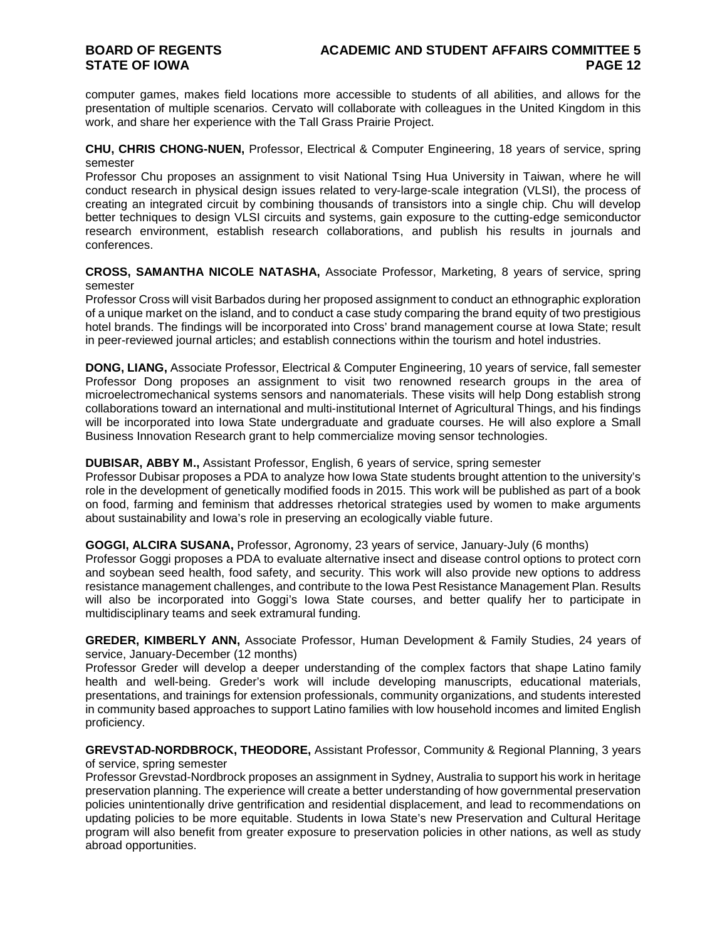computer games, makes field locations more accessible to students of all abilities, and allows for the presentation of multiple scenarios. Cervato will collaborate with colleagues in the United Kingdom in this work, and share her experience with the Tall Grass Prairie Project.

**CHU, CHRIS CHONG-NUEN,** Professor, Electrical & Computer Engineering, 18 years of service, spring semester

Professor Chu proposes an assignment to visit National Tsing Hua University in Taiwan, where he will conduct research in physical design issues related to very-large-scale integration (VLSI), the process of creating an integrated circuit by combining thousands of transistors into a single chip. Chu will develop better techniques to design VLSI circuits and systems, gain exposure to the cutting-edge semiconductor research environment, establish research collaborations, and publish his results in journals and conferences.

**CROSS, SAMANTHA NICOLE NATASHA,** Associate Professor, Marketing, 8 years of service, spring semester

Professor Cross will visit Barbados during her proposed assignment to conduct an ethnographic exploration of a unique market on the island, and to conduct a case study comparing the brand equity of two prestigious hotel brands. The findings will be incorporated into Cross' brand management course at Iowa State; result in peer-reviewed journal articles; and establish connections within the tourism and hotel industries.

**DONG, LIANG,** Associate Professor, Electrical & Computer Engineering, 10 years of service, fall semester Professor Dong proposes an assignment to visit two renowned research groups in the area of microelectromechanical systems sensors and nanomaterials. These visits will help Dong establish strong collaborations toward an international and multi-institutional Internet of Agricultural Things, and his findings will be incorporated into Iowa State undergraduate and graduate courses. He will also explore a Small Business Innovation Research grant to help commercialize moving sensor technologies.

#### **DUBISAR, ABBY M.,** Assistant Professor, English, 6 years of service, spring semester

Professor Dubisar proposes a PDA to analyze how Iowa State students brought attention to the university's role in the development of genetically modified foods in 2015. This work will be published as part of a book on food, farming and feminism that addresses rhetorical strategies used by women to make arguments about sustainability and Iowa's role in preserving an ecologically viable future.

#### **GOGGI, ALCIRA SUSANA,** Professor, Agronomy, 23 years of service, January-July (6 months)

Professor Goggi proposes a PDA to evaluate alternative insect and disease control options to protect corn and soybean seed health, food safety, and security. This work will also provide new options to address resistance management challenges, and contribute to the Iowa Pest Resistance Management Plan. Results will also be incorporated into Goggi's Iowa State courses, and better qualify her to participate in multidisciplinary teams and seek extramural funding.

**GREDER, KIMBERLY ANN,** Associate Professor, Human Development & Family Studies, 24 years of service, January-December (12 months)

Professor Greder will develop a deeper understanding of the complex factors that shape Latino family health and well-being. Greder's work will include developing manuscripts, educational materials, presentations, and trainings for extension professionals, community organizations, and students interested in community based approaches to support Latino families with low household incomes and limited English proficiency.

**GREVSTAD-NORDBROCK, THEODORE,** Assistant Professor, Community & Regional Planning, 3 years of service, spring semester

Professor Grevstad-Nordbrock proposes an assignment in Sydney, Australia to support his work in heritage preservation planning. The experience will create a better understanding of how governmental preservation policies unintentionally drive gentrification and residential displacement, and lead to recommendations on updating policies to be more equitable. Students in Iowa State's new Preservation and Cultural Heritage program will also benefit from greater exposure to preservation policies in other nations, as well as study abroad opportunities.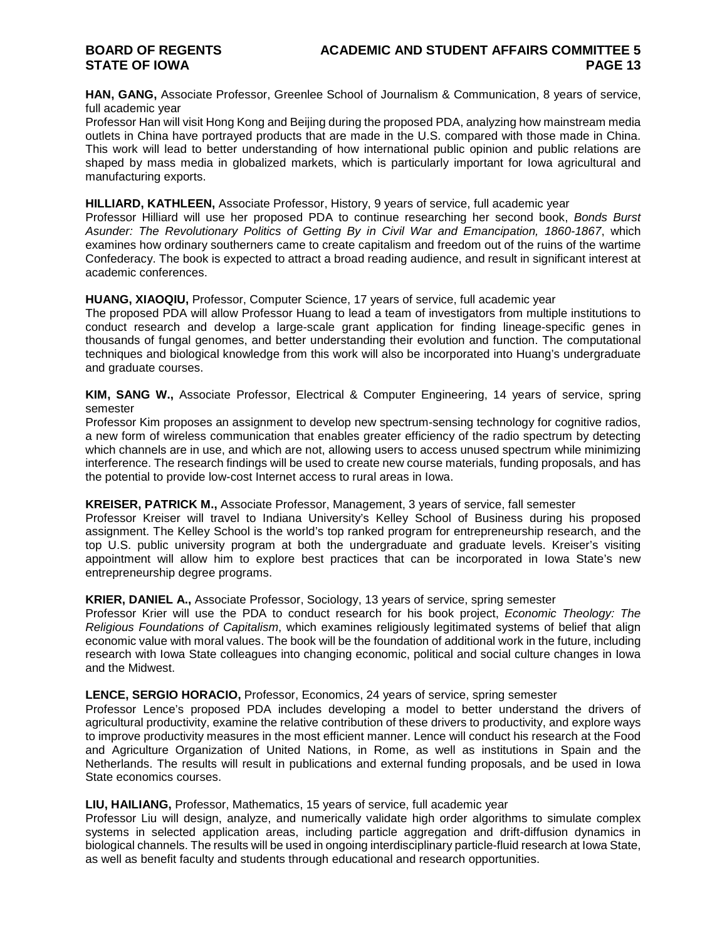**HAN, GANG,** Associate Professor, Greenlee School of Journalism & Communication, 8 years of service, full academic year

Professor Han will visit Hong Kong and Beijing during the proposed PDA, analyzing how mainstream media outlets in China have portrayed products that are made in the U.S. compared with those made in China. This work will lead to better understanding of how international public opinion and public relations are shaped by mass media in globalized markets, which is particularly important for Iowa agricultural and manufacturing exports.

#### **HILLIARD, KATHLEEN,** Associate Professor, History, 9 years of service, full academic year

Professor Hilliard will use her proposed PDA to continue researching her second book, *Bonds Burst Asunder: The Revolutionary Politics of Getting By in Civil War and Emancipation, 1860-1867*, which examines how ordinary southerners came to create capitalism and freedom out of the ruins of the wartime Confederacy. The book is expected to attract a broad reading audience, and result in significant interest at academic conferences.

#### **HUANG, XIAOQIU,** Professor, Computer Science, 17 years of service, full academic year

The proposed PDA will allow Professor Huang to lead a team of investigators from multiple institutions to conduct research and develop a large-scale grant application for finding lineage-specific genes in thousands of fungal genomes, and better understanding their evolution and function. The computational techniques and biological knowledge from this work will also be incorporated into Huang's undergraduate and graduate courses.

**KIM, SANG W.,** Associate Professor, Electrical & Computer Engineering, 14 years of service, spring semester

Professor Kim proposes an assignment to develop new spectrum-sensing technology for cognitive radios, a new form of wireless communication that enables greater efficiency of the radio spectrum by detecting which channels are in use, and which are not, allowing users to access unused spectrum while minimizing interference. The research findings will be used to create new course materials, funding proposals, and has the potential to provide low-cost Internet access to rural areas in Iowa.

#### **KREISER, PATRICK M.,** Associate Professor, Management, 3 years of service, fall semester

Professor Kreiser will travel to Indiana University's Kelley School of Business during his proposed assignment. The Kelley School is the world's top ranked program for entrepreneurship research, and the top U.S. public university program at both the undergraduate and graduate levels. Kreiser's visiting appointment will allow him to explore best practices that can be incorporated in Iowa State's new entrepreneurship degree programs.

#### **KRIER, DANIEL A.,** Associate Professor, Sociology, 13 years of service, spring semester

Professor Krier will use the PDA to conduct research for his book project, *Economic Theology: The Religious Foundations of Capitalism*, which examines religiously legitimated systems of belief that align economic value with moral values. The book will be the foundation of additional work in the future, including research with Iowa State colleagues into changing economic, political and social culture changes in Iowa and the Midwest.

#### **LENCE, SERGIO HORACIO,** Professor, Economics, 24 years of service, spring semester

Professor Lence's proposed PDA includes developing a model to better understand the drivers of agricultural productivity, examine the relative contribution of these drivers to productivity, and explore ways to improve productivity measures in the most efficient manner. Lence will conduct his research at the Food and Agriculture Organization of United Nations, in Rome, as well as institutions in Spain and the Netherlands. The results will result in publications and external funding proposals, and be used in Iowa State economics courses.

#### **LIU, HAILIANG,** Professor, Mathematics, 15 years of service, full academic year

Professor Liu will design, analyze, and numerically validate high order algorithms to simulate complex systems in selected application areas, including particle aggregation and drift-diffusion dynamics in biological channels. The results will be used in ongoing interdisciplinary particle-fluid research at Iowa State, as well as benefit faculty and students through educational and research opportunities.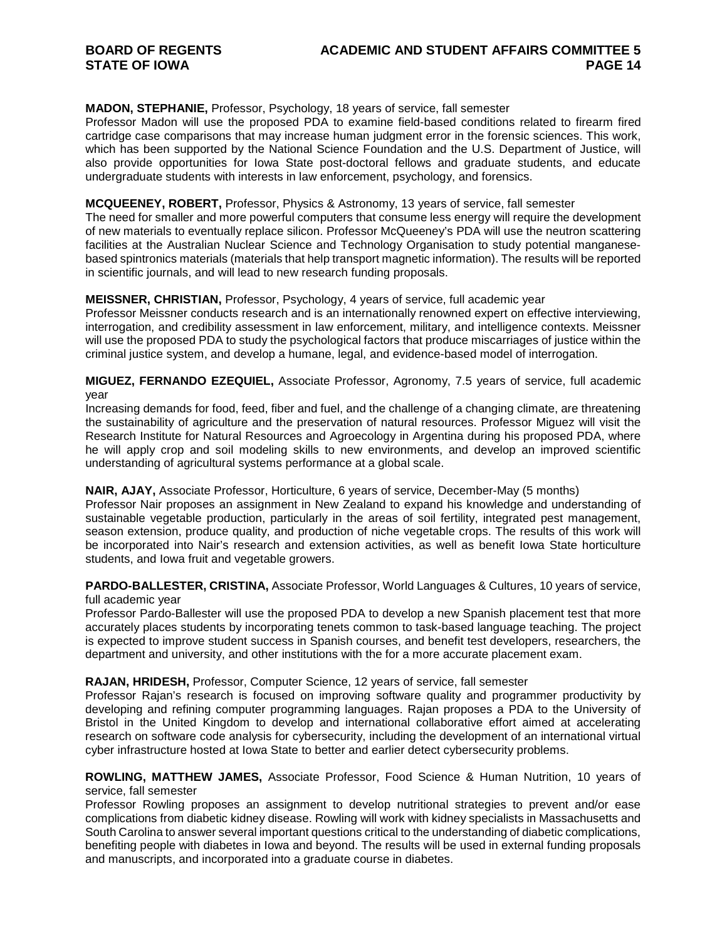#### **MADON, STEPHANIE,** Professor, Psychology, 18 years of service, fall semester

Professor Madon will use the proposed PDA to examine field-based conditions related to firearm fired cartridge case comparisons that may increase human judgment error in the forensic sciences. This work, which has been supported by the National Science Foundation and the U.S. Department of Justice, will also provide opportunities for Iowa State post-doctoral fellows and graduate students, and educate undergraduate students with interests in law enforcement, psychology, and forensics.

#### **MCQUEENEY, ROBERT,** Professor, Physics & Astronomy, 13 years of service, fall semester

The need for smaller and more powerful computers that consume less energy will require the development of new materials to eventually replace silicon. Professor McQueeney's PDA will use the neutron scattering facilities at the Australian Nuclear Science and Technology Organisation to study potential manganesebased spintronics materials (materials that help transport magnetic information). The results will be reported in scientific journals, and will lead to new research funding proposals.

#### **MEISSNER, CHRISTIAN,** Professor, Psychology, 4 years of service, full academic year

Professor Meissner conducts research and is an internationally renowned expert on effective interviewing, interrogation, and credibility assessment in law enforcement, military, and intelligence contexts. Meissner will use the proposed PDA to study the psychological factors that produce miscarriages of justice within the criminal justice system, and develop a humane, legal, and evidence-based model of interrogation.

#### **MIGUEZ, FERNANDO EZEQUIEL,** Associate Professor, Agronomy, 7.5 years of service, full academic year

Increasing demands for food, feed, fiber and fuel, and the challenge of a changing climate, are threatening the sustainability of agriculture and the preservation of natural resources. Professor Miguez will visit the Research Institute for Natural Resources and Agroecology in Argentina during his proposed PDA, where he will apply crop and soil modeling skills to new environments, and develop an improved scientific understanding of agricultural systems performance at a global scale.

#### **NAIR, AJAY,** Associate Professor, Horticulture, 6 years of service, December-May (5 months)

Professor Nair proposes an assignment in New Zealand to expand his knowledge and understanding of sustainable vegetable production, particularly in the areas of soil fertility, integrated pest management, season extension, produce quality, and production of niche vegetable crops. The results of this work will be incorporated into Nair's research and extension activities, as well as benefit Iowa State horticulture students, and Iowa fruit and vegetable growers.

#### **PARDO-BALLESTER, CRISTINA,** Associate Professor, World Languages & Cultures, 10 years of service, full academic year

Professor Pardo-Ballester will use the proposed PDA to develop a new Spanish placement test that more accurately places students by incorporating tenets common to task-based language teaching. The project is expected to improve student success in Spanish courses, and benefit test developers, researchers, the department and university, and other institutions with the for a more accurate placement exam.

#### **RAJAN, HRIDESH,** Professor, Computer Science, 12 years of service, fall semester

Professor Rajan's research is focused on improving software quality and programmer productivity by developing and refining computer programming languages. Rajan proposes a PDA to the University of Bristol in the United Kingdom to develop and international collaborative effort aimed at accelerating research on software code analysis for cybersecurity, including the development of an international virtual cyber infrastructure hosted at Iowa State to better and earlier detect cybersecurity problems.

#### **ROWLING, MATTHEW JAMES,** Associate Professor, Food Science & Human Nutrition, 10 years of service, fall semester

Professor Rowling proposes an assignment to develop nutritional strategies to prevent and/or ease complications from diabetic kidney disease. Rowling will work with kidney specialists in Massachusetts and South Carolina to answer several important questions critical to the understanding of diabetic complications, benefiting people with diabetes in Iowa and beyond. The results will be used in external funding proposals and manuscripts, and incorporated into a graduate course in diabetes.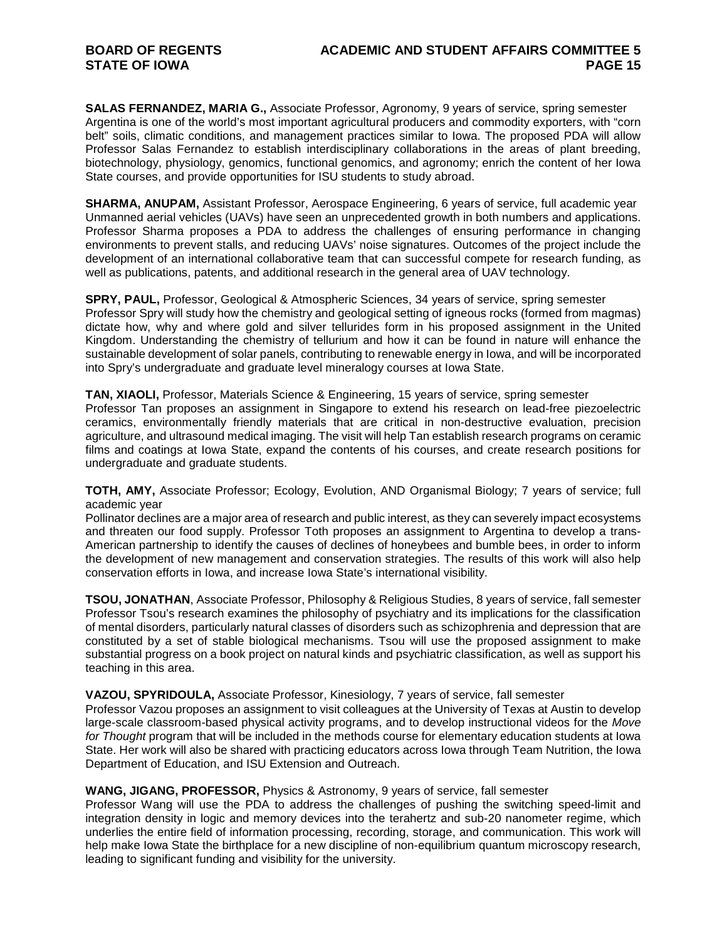**SALAS FERNANDEZ, MARIA G.,** Associate Professor, Agronomy, 9 years of service, spring semester Argentina is one of the world's most important agricultural producers and commodity exporters, with "corn belt" soils, climatic conditions, and management practices similar to Iowa. The proposed PDA will allow Professor Salas Fernandez to establish interdisciplinary collaborations in the areas of plant breeding, biotechnology, physiology, genomics, functional genomics, and agronomy; enrich the content of her Iowa State courses, and provide opportunities for ISU students to study abroad.

**SHARMA, ANUPAM,** Assistant Professor, Aerospace Engineering, 6 years of service, full academic year Unmanned aerial vehicles (UAVs) have seen an unprecedented growth in both numbers and applications. Professor Sharma proposes a PDA to address the challenges of ensuring performance in changing environments to prevent stalls, and reducing UAVs' noise signatures. Outcomes of the project include the development of an international collaborative team that can successful compete for research funding, as well as publications, patents, and additional research in the general area of UAV technology.

**SPRY, PAUL,** Professor, Geological & Atmospheric Sciences, 34 years of service, spring semester Professor Spry will study how the chemistry and geological setting of igneous rocks (formed from magmas) dictate how, why and where gold and silver tellurides form in his proposed assignment in the United Kingdom. Understanding the chemistry of tellurium and how it can be found in nature will enhance the sustainable development of solar panels, contributing to renewable energy in Iowa, and will be incorporated into Spry's undergraduate and graduate level mineralogy courses at Iowa State.

**TAN, XIAOLI,** Professor, Materials Science & Engineering, 15 years of service, spring semester Professor Tan proposes an assignment in Singapore to extend his research on lead-free piezoelectric ceramics, environmentally friendly materials that are critical in non-destructive evaluation, precision agriculture, and ultrasound medical imaging. The visit will help Tan establish research programs on ceramic films and coatings at Iowa State, expand the contents of his courses, and create research positions for undergraduate and graduate students.

**TOTH, AMY,** Associate Professor; Ecology, Evolution, AND Organismal Biology; 7 years of service; full academic year

Pollinator declines are a major area of research and public interest, as they can severely impact ecosystems and threaten our food supply. Professor Toth proposes an assignment to Argentina to develop a trans-American partnership to identify the causes of declines of honeybees and bumble bees, in order to inform the development of new management and conservation strategies. The results of this work will also help conservation efforts in Iowa, and increase Iowa State's international visibility.

**TSOU, JONATHAN**, Associate Professor, Philosophy & Religious Studies, 8 years of service, fall semester Professor Tsou's research examines the philosophy of psychiatry and its implications for the classification of mental disorders, particularly natural classes of disorders such as schizophrenia and depression that are constituted by a set of stable biological mechanisms. Tsou will use the proposed assignment to make substantial progress on a book project on natural kinds and psychiatric classification, as well as support his teaching in this area.

#### **VAZOU, SPYRIDOULA,** Associate Professor, Kinesiology, 7 years of service, fall semester

Professor Vazou proposes an assignment to visit colleagues at the University of Texas at Austin to develop large-scale classroom-based physical activity programs, and to develop instructional videos for the *Move for Thought* program that will be included in the methods course for elementary education students at Iowa State. Her work will also be shared with practicing educators across Iowa through Team Nutrition, the Iowa Department of Education, and ISU Extension and Outreach.

#### **WANG, JIGANG, PROFESSOR,** Physics & Astronomy, 9 years of service, fall semester

Professor Wang will use the PDA to address the challenges of pushing the switching speed-limit and integration density in logic and memory devices into the terahertz and sub-20 nanometer regime, which underlies the entire field of information processing, recording, storage, and communication. This work will help make Iowa State the birthplace for a new discipline of non-equilibrium quantum microscopy research, leading to significant funding and visibility for the university.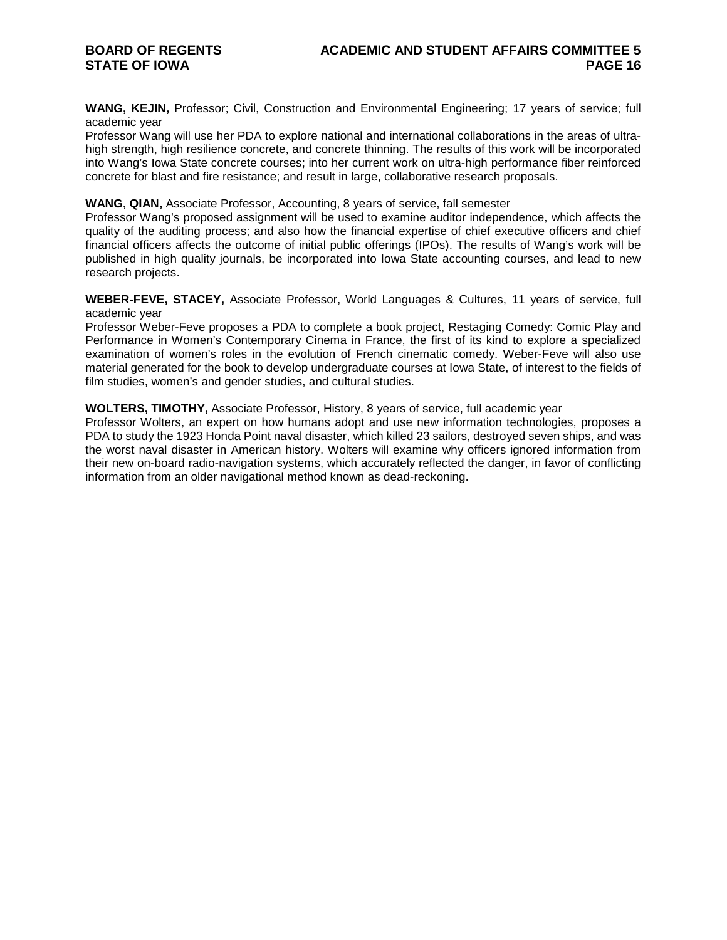**WANG, KEJIN,** Professor; Civil, Construction and Environmental Engineering; 17 years of service; full academic year

Professor Wang will use her PDA to explore national and international collaborations in the areas of ultrahigh strength, high resilience concrete, and concrete thinning. The results of this work will be incorporated into Wang's Iowa State concrete courses; into her current work on ultra-high performance fiber reinforced concrete for blast and fire resistance; and result in large, collaborative research proposals.

#### **WANG, QIAN,** Associate Professor, Accounting, 8 years of service, fall semester

Professor Wang's proposed assignment will be used to examine auditor independence, which affects the quality of the auditing process; and also how the financial expertise of chief executive officers and chief financial officers affects the outcome of initial public offerings (IPOs). The results of Wang's work will be published in high quality journals, be incorporated into Iowa State accounting courses, and lead to new research projects.

**WEBER-FEVE, STACEY,** Associate Professor, World Languages & Cultures, 11 years of service, full academic year

Professor Weber-Feve proposes a PDA to complete a book project, Restaging Comedy: Comic Play and Performance in Women's Contemporary Cinema in France, the first of its kind to explore a specialized examination of women's roles in the evolution of French cinematic comedy. Weber-Feve will also use material generated for the book to develop undergraduate courses at Iowa State, of interest to the fields of film studies, women's and gender studies, and cultural studies.

#### **WOLTERS, TIMOTHY,** Associate Professor, History, 8 years of service, full academic year

Professor Wolters, an expert on how humans adopt and use new information technologies, proposes a PDA to study the 1923 Honda Point naval disaster, which killed 23 sailors, destroyed seven ships, and was the worst naval disaster in American history. Wolters will examine why officers ignored information from their new on-board radio-navigation systems, which accurately reflected the danger, in favor of conflicting information from an older navigational method known as dead-reckoning.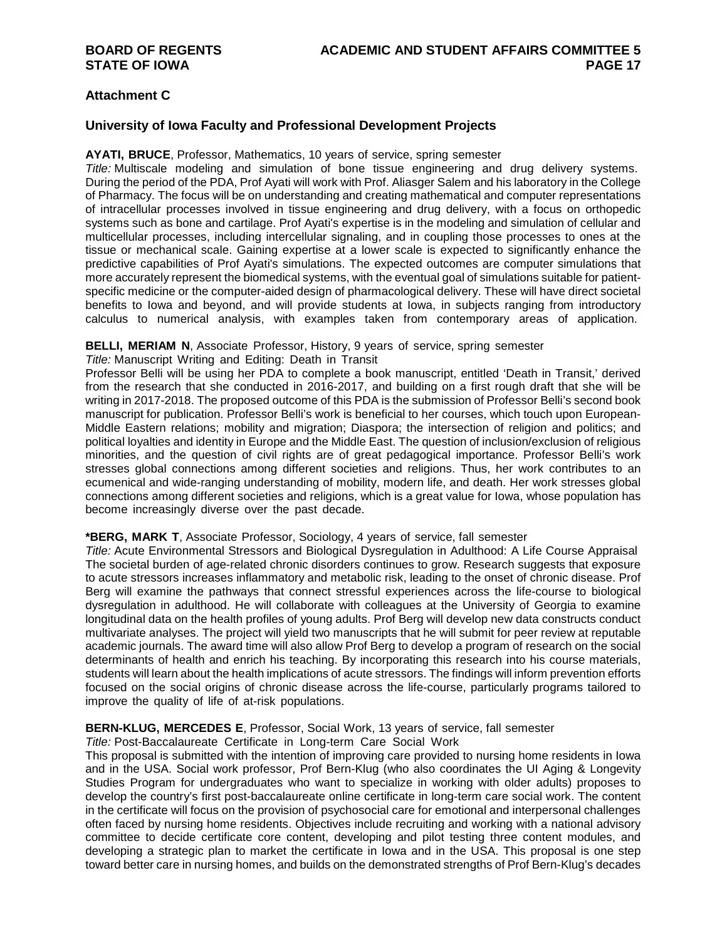## **Attachment C**

#### **University of Iowa Faculty and Professional Development Projects**

#### **AYATI, BRUCE**, Professor, Mathematics, 10 years of service, spring semester

*Title:* Multiscale modeling and simulation of bone tissue engineering and drug delivery systems. During the period of the PDA, Prof Ayati will work with Prof. Aliasger Salem and his laboratory in the College of Pharmacy. The focus will be on understanding and creating mathematical and computer representations of intracellular processes involved in tissue engineering and drug delivery, with a focus on orthopedic systems such as bone and cartilage. Prof Ayati's expertise is in the modeling and simulation of cellular and multicellular processes, including intercellular signaling, and in coupling those processes to ones at the tissue or mechanical scale. Gaining expertise at a lower scale is expected to significantly enhance the predictive capabilities of Prof Ayati's simulations. The expected outcomes are computer simulations that more accurately represent the biomedical systems, with the eventual goal of simulations suitable for patientspecific medicine or the computer-aided design of pharmacological delivery. These will have direct societal benefits to Iowa and beyond, and will provide students at Iowa, in subjects ranging from introductory calculus to numerical analysis, with examples taken from contemporary areas of application.

#### **BELLI, MERIAM N**, Associate Professor, History, 9 years of service, spring semester

*Title:* Manuscript Writing and Editing: Death in Transit

Professor Belli will be using her PDA to complete a book manuscript, entitled 'Death in Transit,' derived from the research that she conducted in 2016-2017, and building on a first rough draft that she will be writing in 2017-2018. The proposed outcome of this PDA is the submission of Professor Belli's second book manuscript for publication. Professor Belli's work is beneficial to her courses, which touch upon European-Middle Eastern relations; mobility and migration; Diaspora; the intersection of religion and politics; and political loyalties and identity in Europe and the Middle East. The question of inclusion/exclusion of religious minorities, and the question of civil rights are of great pedagogical importance. Professor Belli's work stresses global connections among different societies and religions. Thus, her work contributes to an ecumenical and wide-ranging understanding of mobility, modern life, and death. Her work stresses global connections among different societies and religions, which is a great value for Iowa, whose population has become increasingly diverse over the past decade.

#### **\*BERG, MARK T**, Associate Professor, Sociology, 4 years of service, fall semester

*Title:* Acute Environmental Stressors and Biological Dysregulation in Adulthood: A Life Course Appraisal The societal burden of age-related chronic disorders continues to grow. Research suggests that exposure to acute stressors increases inflammatory and metabolic risk, leading to the onset of chronic disease. Prof Berg will examine the pathways that connect stressful experiences across the life-course to biological dysregulation in adulthood. He will collaborate with colleagues at the University of Georgia to examine longitudinal data on the health profiles of young adults. Prof Berg will develop new data constructs conduct multivariate analyses. The project will yield two manuscripts that he will submit for peer review at reputable academic journals. The award time will also allow Prof Berg to develop a program of research on the social determinants of health and enrich his teaching. By incorporating this research into his course materials, students will learn about the health implications of acute stressors. The findings will inform prevention efforts focused on the social origins of chronic disease across the life-course, particularly programs tailored to improve the quality of life of at-risk populations.

#### **BERN-KLUG, MERCEDES E**, Professor, Social Work, 13 years of service, fall semester

*Title:* Post-Baccalaureate Certificate in Long-term Care Social Work

This proposal is submitted with the intention of improving care provided to nursing home residents in Iowa and in the USA. Social work professor, Prof Bern-Klug (who also coordinates the UI Aging & Longevity Studies Program for undergraduates who want to specialize in working with older adults) proposes to develop the country's first post-baccalaureate online certificate in long-term care social work. The content in the certificate will focus on the provision of psychosocial care for emotional and interpersonal challenges often faced by nursing home residents. Objectives include recruiting and working with a national advisory committee to decide certificate core content, developing and pilot testing three content modules, and developing a strategic plan to market the certificate in Iowa and in the USA. This proposal is one step toward better care in nursing homes, and builds on the demonstrated strengths of Prof Bern-Klug's decades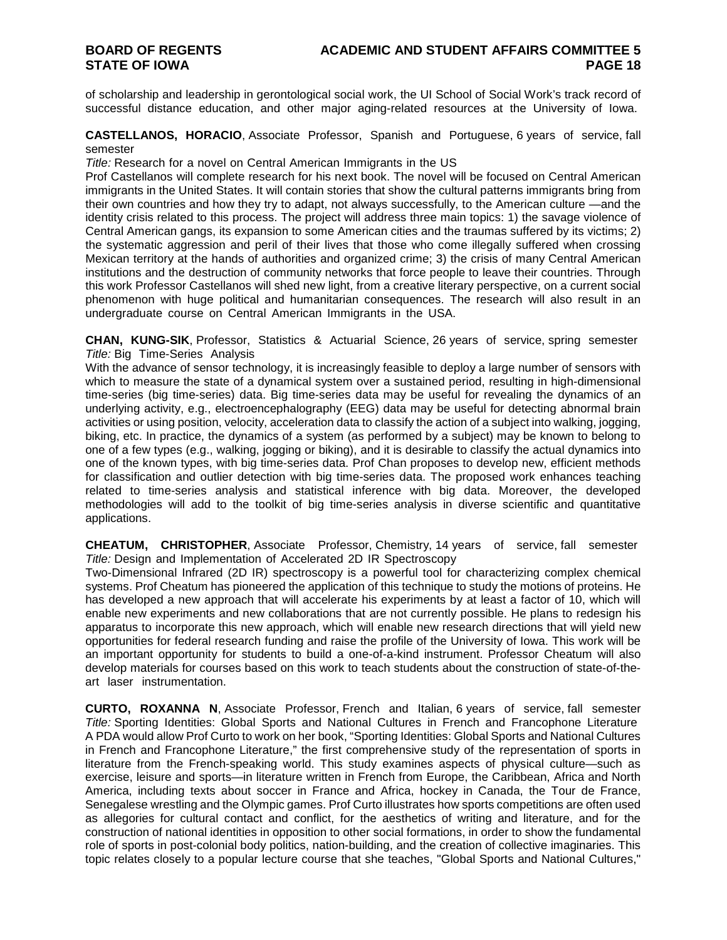of scholarship and leadership in gerontological social work, the UI School of Social Work's track record of successful distance education, and other major aging-related resources at the University of Iowa.

**CASTELLANOS, HORACIO**, Associate Professor, Spanish and Portuguese, 6 years of service, fall semester

*Title:* Research for a novel on Central American Immigrants in the US

Prof Castellanos will complete research for his next book. The novel will be focused on Central American immigrants in the United States. It will contain stories that show the cultural patterns immigrants bring from their own countries and how they try to adapt, not always successfully, to the American culture —and the identity crisis related to this process. The project will address three main topics: 1) the savage violence of Central American gangs, its expansion to some American cities and the traumas suffered by its victims; 2) the systematic aggression and peril of their lives that those who come illegally suffered when crossing Mexican territory at the hands of authorities and organized crime; 3) the crisis of many Central American institutions and the destruction of community networks that force people to leave their countries. Through this work Professor Castellanos will shed new light, from a creative literary perspective, on a current social phenomenon with huge political and humanitarian consequences. The research will also result in an undergraduate course on Central American Immigrants in the USA.

**CHAN, KUNG-SIK**, Professor, Statistics & Actuarial Science, 26 years of service, spring semester *Title:* Big Time-Series Analysis

With the advance of sensor technology, it is increasingly feasible to deploy a large number of sensors with which to measure the state of a dynamical system over a sustained period, resulting in high-dimensional time-series (big time-series) data. Big time-series data may be useful for revealing the dynamics of an underlying activity, e.g., electroencephalography (EEG) data may be useful for detecting abnormal brain activities or using position, velocity, acceleration data to classify the action of a subject into walking, jogging, biking, etc. In practice, the dynamics of a system (as performed by a subject) may be known to belong to one of a few types (e.g., walking, jogging or biking), and it is desirable to classify the actual dynamics into one of the known types, with big time-series data. Prof Chan proposes to develop new, efficient methods for classification and outlier detection with big time-series data. The proposed work enhances teaching related to time-series analysis and statistical inference with big data. Moreover, the developed methodologies will add to the toolkit of big time-series analysis in diverse scientific and quantitative applications.

**CHEATUM, CHRISTOPHER**, Associate Professor, Chemistry, 14 years of service, fall semester *Title:* Design and Implementation of Accelerated 2D IR Spectroscopy

Two-Dimensional Infrared (2D IR) spectroscopy is a powerful tool for characterizing complex chemical systems. Prof Cheatum has pioneered the application of this technique to study the motions of proteins. He has developed a new approach that will accelerate his experiments by at least a factor of 10, which will enable new experiments and new collaborations that are not currently possible. He plans to redesign his apparatus to incorporate this new approach, which will enable new research directions that will yield new opportunities for federal research funding and raise the profile of the University of Iowa. This work will be an important opportunity for students to build a one-of-a-kind instrument. Professor Cheatum will also develop materials for courses based on this work to teach students about the construction of state-of-theart laser instrumentation.

**CURTO, ROXANNA N**, Associate Professor, French and Italian, 6 years of service, fall semester *Title:* Sporting Identities: Global Sports and National Cultures in French and Francophone Literature A PDA would allow Prof Curto to work on her book, "Sporting Identities: Global Sports and National Cultures in French and Francophone Literature," the first comprehensive study of the representation of sports in literature from the French-speaking world. This study examines aspects of physical culture—such as exercise, leisure and sports—in literature written in French from Europe, the Caribbean, Africa and North America, including texts about soccer in France and Africa, hockey in Canada, the Tour de France, Senegalese wrestling and the Olympic games. Prof Curto illustrates how sports competitions are often used as allegories for cultural contact and conflict, for the aesthetics of writing and literature, and for the construction of national identities in opposition to other social formations, in order to show the fundamental role of sports in post-colonial body politics, nation-building, and the creation of collective imaginaries. This topic relates closely to a popular lecture course that she teaches, "Global Sports and National Cultures,"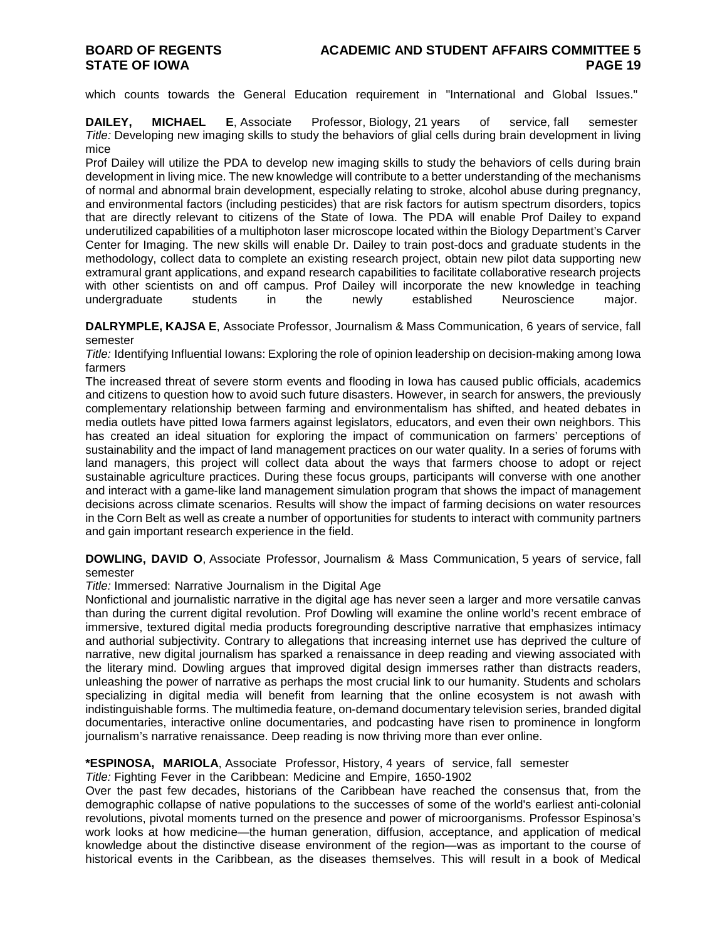which counts towards the General Education requirement in "International and Global Issues."

**DAILEY, MICHAEL E**, Associate Professor, Biology, 21 years of service, fall semester *Title:* Developing new imaging skills to study the behaviors of glial cells during brain development in living mice

Prof Dailey will utilize the PDA to develop new imaging skills to study the behaviors of cells during brain development in living mice. The new knowledge will contribute to a better understanding of the mechanisms of normal and abnormal brain development, especially relating to stroke, alcohol abuse during pregnancy, and environmental factors (including pesticides) that are risk factors for autism spectrum disorders, topics that are directly relevant to citizens of the State of Iowa. The PDA will enable Prof Dailey to expand underutilized capabilities of a multiphoton laser microscope located within the Biology Department's Carver Center for Imaging. The new skills will enable Dr. Dailey to train post-docs and graduate students in the methodology, collect data to complete an existing research project, obtain new pilot data supporting new extramural grant applications, and expand research capabilities to facilitate collaborative research projects with other scientists on and off campus. Prof Dailey will incorporate the new knowledge in teaching undergraduate students in the newly established Neuroscience major.

**DALRYMPLE, KAJSA E**, Associate Professor, Journalism & Mass Communication, 6 years of service, fall semester

*Title:* Identifying Influential Iowans: Exploring the role of opinion leadership on decision-making among Iowa farmers

The increased threat of severe storm events and flooding in Iowa has caused public officials, academics and citizens to question how to avoid such future disasters. However, in search for answers, the previously complementary relationship between farming and environmentalism has shifted, and heated debates in media outlets have pitted Iowa farmers against legislators, educators, and even their own neighbors. This has created an ideal situation for exploring the impact of communication on farmers' perceptions of sustainability and the impact of land management practices on our water quality. In a series of forums with land managers, this project will collect data about the ways that farmers choose to adopt or reject sustainable agriculture practices. During these focus groups, participants will converse with one another and interact with a game-like land management simulation program that shows the impact of management decisions across climate scenarios. Results will show the impact of farming decisions on water resources in the Corn Belt as well as create a number of opportunities for students to interact with community partners and gain important research experience in the field.

**DOWLING, DAVID O**, Associate Professor, Journalism & Mass Communication, 5 years of service, fall semester

*Title:* Immersed: Narrative Journalism in the Digital Age

Nonfictional and journalistic narrative in the digital age has never seen a larger and more versatile canvas than during the current digital revolution. Prof Dowling will examine the online world's recent embrace of immersive, textured digital media products foregrounding descriptive narrative that emphasizes intimacy and authorial subjectivity. Contrary to allegations that increasing internet use has deprived the culture of narrative, new digital journalism has sparked a renaissance in deep reading and viewing associated with the literary mind. Dowling argues that improved digital design immerses rather than distracts readers, unleashing the power of narrative as perhaps the most crucial link to our humanity. Students and scholars specializing in digital media will benefit from learning that the online ecosystem is not awash with indistinguishable forms. The multimedia feature, on-demand documentary television series, branded digital documentaries, interactive online documentaries, and podcasting have risen to prominence in longform journalism's narrative renaissance. Deep reading is now thriving more than ever online.

#### **\*ESPINOSA, MARIOLA**, Associate Professor, History, 4 years of service, fall semester

*Title:* Fighting Fever in the Caribbean: Medicine and Empire, 1650-1902

Over the past few decades, historians of the Caribbean have reached the consensus that, from the demographic collapse of native populations to the successes of some of the world's earliest anti-colonial revolutions, pivotal moments turned on the presence and power of microorganisms. Professor Espinosa's work looks at how medicine—the human generation, diffusion, acceptance, and application of medical knowledge about the distinctive disease environment of the region—was as important to the course of historical events in the Caribbean, as the diseases themselves. This will result in a book of Medical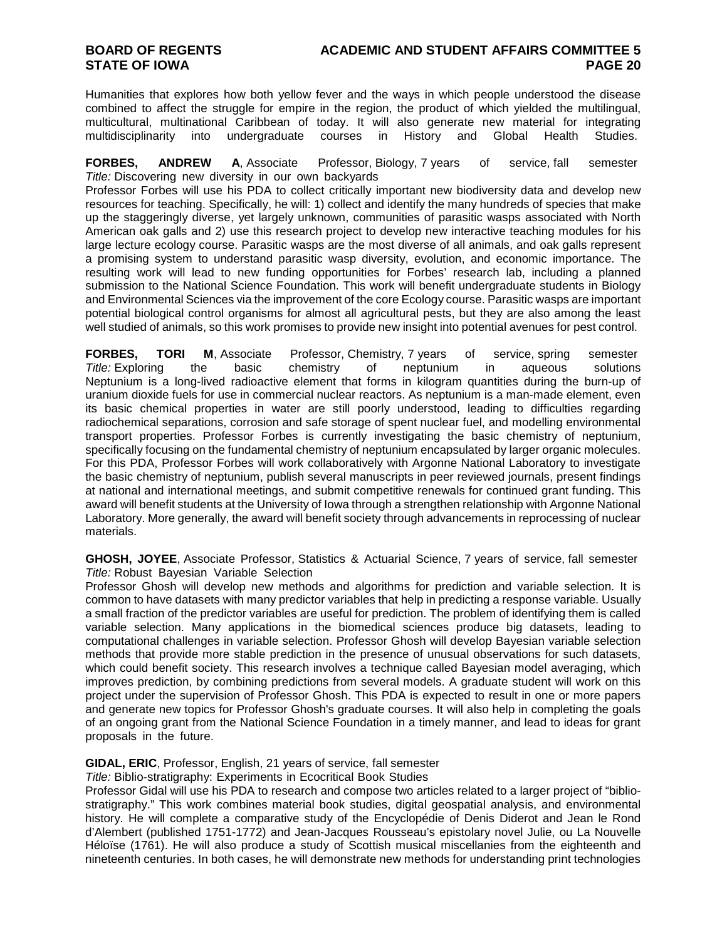Humanities that explores how both yellow fever and the ways in which people understood the disease combined to affect the struggle for empire in the region, the product of which yielded the multilingual, multicultural, multinational Caribbean of today. It will also generate new material for integrating multidisciplinarity into undergraduate courses in History and Global Health Studies.

**FORBES, ANDREW A**, Associate Professor, Biology, 7 years of service, fall semester *Title:* Discovering new diversity in our own backyards

Professor Forbes will use his PDA to collect critically important new biodiversity data and develop new resources for teaching. Specifically, he will: 1) collect and identify the many hundreds of species that make up the staggeringly diverse, yet largely unknown, communities of parasitic wasps associated with North American oak galls and 2) use this research project to develop new interactive teaching modules for his large lecture ecology course. Parasitic wasps are the most diverse of all animals, and oak galls represent a promising system to understand parasitic wasp diversity, evolution, and economic importance. The resulting work will lead to new funding opportunities for Forbes' research lab, including a planned submission to the National Science Foundation. This work will benefit undergraduate students in Biology and Environmental Sciences via the improvement of the core Ecology course. Parasitic wasps are important potential biological control organisms for almost all agricultural pests, but they are also among the least well studied of animals, so this work promises to provide new insight into potential avenues for pest control.

**FORBES, TORI M**, Associate Professor, Chemistry, 7 years of service, spring semester *Title:* Exploring the basic chemistry of neptunium in aqueous solutions Neptunium is a long-lived radioactive element that forms in kilogram quantities during the burn-up of uranium dioxide fuels for use in commercial nuclear reactors. As neptunium is a man-made element, even its basic chemical properties in water are still poorly understood, leading to difficulties regarding radiochemical separations, corrosion and safe storage of spent nuclear fuel, and modelling environmental transport properties. Professor Forbes is currently investigating the basic chemistry of neptunium, specifically focusing on the fundamental chemistry of neptunium encapsulated by larger organic molecules. For this PDA, Professor Forbes will work collaboratively with Argonne National Laboratory to investigate the basic chemistry of neptunium, publish several manuscripts in peer reviewed journals, present findings at national and international meetings, and submit competitive renewals for continued grant funding. This award will benefit students at the University of Iowa through a strengthen relationship with Argonne National Laboratory. More generally, the award will benefit society through advancements in reprocessing of nuclear materials.

**GHOSH, JOYEE**, Associate Professor, Statistics & Actuarial Science, 7 years of service, fall semester *Title:* Robust Bayesian Variable Selection

Professor Ghosh will develop new methods and algorithms for prediction and variable selection. It is common to have datasets with many predictor variables that help in predicting a response variable. Usually a small fraction of the predictor variables are useful for prediction. The problem of identifying them is called variable selection. Many applications in the biomedical sciences produce big datasets, leading to computational challenges in variable selection. Professor Ghosh will develop Bayesian variable selection methods that provide more stable prediction in the presence of unusual observations for such datasets, which could benefit society. This research involves a technique called Bayesian model averaging, which improves prediction, by combining predictions from several models. A graduate student will work on this project under the supervision of Professor Ghosh. This PDA is expected to result in one or more papers and generate new topics for Professor Ghosh's graduate courses. It will also help in completing the goals of an ongoing grant from the National Science Foundation in a timely manner, and lead to ideas for grant proposals in the future.

#### **GIDAL, ERIC**, Professor, English, 21 years of service, fall semester

*Title:* Biblio-stratigraphy: Experiments in Ecocritical Book Studies

Professor Gidal will use his PDA to research and compose two articles related to a larger project of "bibliostratigraphy." This work combines material book studies, digital geospatial analysis, and environmental history. He will complete a comparative study of the Encyclopédie of Denis Diderot and Jean le Rond d'Alembert (published 1751-1772) and Jean-Jacques Rousseau's epistolary novel Julie, ou La Nouvelle Héloïse (1761). He will also produce a study of Scottish musical miscellanies from the eighteenth and nineteenth centuries. In both cases, he will demonstrate new methods for understanding print technologies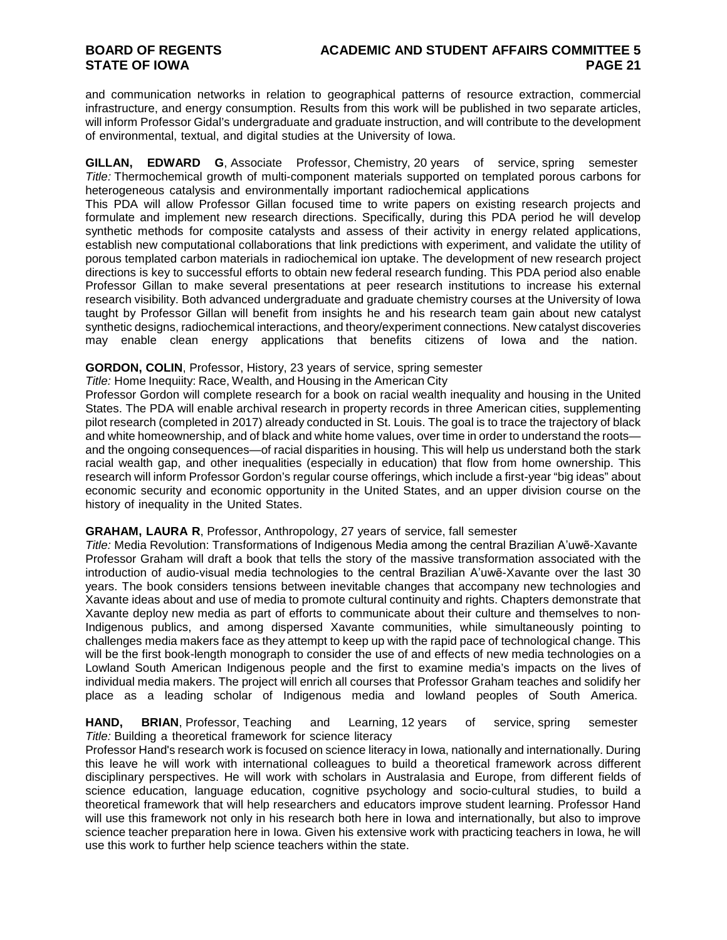and communication networks in relation to geographical patterns of resource extraction, commercial infrastructure, and energy consumption. Results from this work will be published in two separate articles, will inform Professor Gidal's undergraduate and graduate instruction, and will contribute to the development of environmental, textual, and digital studies at the University of Iowa.

**GILLAN, EDWARD G**, Associate Professor, Chemistry, 20 years of service, spring semester *Title:* Thermochemical growth of multi-component materials supported on templated porous carbons for heterogeneous catalysis and environmentally important radiochemical applications

This PDA will allow Professor Gillan focused time to write papers on existing research projects and formulate and implement new research directions. Specifically, during this PDA period he will develop synthetic methods for composite catalysts and assess of their activity in energy related applications, establish new computational collaborations that link predictions with experiment, and validate the utility of porous templated carbon materials in radiochemical ion uptake. The development of new research project directions is key to successful efforts to obtain new federal research funding. This PDA period also enable Professor Gillan to make several presentations at peer research institutions to increase his external research visibility. Both advanced undergraduate and graduate chemistry courses at the University of Iowa taught by Professor Gillan will benefit from insights he and his research team gain about new catalyst synthetic designs, radiochemical interactions, and theory/experiment connections. New catalyst discoveries may enable clean energy applications that benefits citizens of Iowa and the nation.

### **GORDON, COLIN**, Professor, History, 23 years of service, spring semester

*Title:* Home Inequiity: Race, Wealth, and Housing in the American City

Professor Gordon will complete research for a book on racial wealth inequality and housing in the United States. The PDA will enable archival research in property records in three American cities, supplementing pilot research (completed in 2017) already conducted in St. Louis. The goal is to trace the trajectory of black and white homeownership, and of black and white home values, over time in order to understand the roots and the ongoing consequences—of racial disparities in housing. This will help us understand both the stark racial wealth gap, and other inequalities (especially in education) that flow from home ownership. This research will inform Professor Gordon's regular course offerings, which include a first-year "big ideas" about economic security and economic opportunity in the United States, and an upper division course on the history of inequality in the United States.

#### **GRAHAM, LAURA R**, Professor, Anthropology, 27 years of service, fall semester

*Title:* Media Revolution: Transformations of Indigenous Media among the central Brazilian A'uwẽ-Xavante Professor Graham will draft a book that tells the story of the massive transformation associated with the introduction of audio-visual media technologies to the central Brazilian A'uwẽ-Xavante over the last 30 years. The book considers tensions between inevitable changes that accompany new technologies and Xavante ideas about and use of media to promote cultural continuity and rights. Chapters demonstrate that Xavante deploy new media as part of efforts to communicate about their culture and themselves to non-Indigenous publics, and among dispersed Xavante communities, while simultaneously pointing to challenges media makers face as they attempt to keep up with the rapid pace of technological change. This will be the first book-length monograph to consider the use of and effects of new media technologies on a Lowland South American Indigenous people and the first to examine media's impacts on the lives of individual media makers. The project will enrich all courses that Professor Graham teaches and solidify her place as a leading scholar of Indigenous media and lowland peoples of South America.

**HAND, BRIAN**, Professor, Teaching and Learning, 12 years of service, spring semester *Title:* Building a theoretical framework for science literacy

Professor Hand's research work is focused on science literacy in Iowa, nationally and internationally. During this leave he will work with international colleagues to build a theoretical framework across different disciplinary perspectives. He will work with scholars in Australasia and Europe, from different fields of science education, language education, cognitive psychology and socio-cultural studies, to build a theoretical framework that will help researchers and educators improve student learning. Professor Hand will use this framework not only in his research both here in Iowa and internationally, but also to improve science teacher preparation here in Iowa. Given his extensive work with practicing teachers in Iowa, he will use this work to further help science teachers within the state.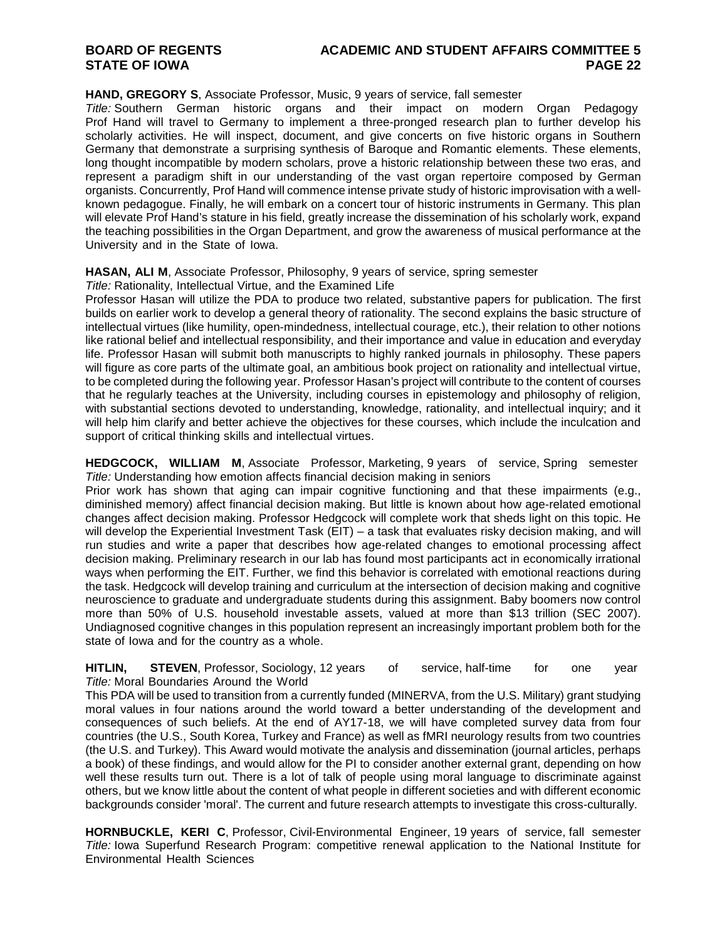## **BOARD OF REGENTS ACADEMIC AND STUDENT AFFAIRS COMMITTEE 5**

#### **HAND, GREGORY S**, Associate Professor, Music, 9 years of service, fall semester

*Title:* Southern German historic organs and their impact on modern Organ Pedagogy Prof Hand will travel to Germany to implement a three-pronged research plan to further develop his scholarly activities. He will inspect, document, and give concerts on five historic organs in Southern Germany that demonstrate a surprising synthesis of Baroque and Romantic elements. These elements, long thought incompatible by modern scholars, prove a historic relationship between these two eras, and represent a paradigm shift in our understanding of the vast organ repertoire composed by German organists. Concurrently, Prof Hand will commence intense private study of historic improvisation with a wellknown pedagogue. Finally, he will embark on a concert tour of historic instruments in Germany. This plan will elevate Prof Hand's stature in his field, greatly increase the dissemination of his scholarly work, expand the teaching possibilities in the Organ Department, and grow the awareness of musical performance at the University and in the State of Iowa.

#### **HASAN, ALI M**, Associate Professor, Philosophy, 9 years of service, spring semester

*Title:* Rationality, Intellectual Virtue, and the Examined Life

Professor Hasan will utilize the PDA to produce two related, substantive papers for publication. The first builds on earlier work to develop a general theory of rationality. The second explains the basic structure of intellectual virtues (like humility, open-mindedness, intellectual courage, etc.), their relation to other notions like rational belief and intellectual responsibility, and their importance and value in education and everyday life. Professor Hasan will submit both manuscripts to highly ranked journals in philosophy. These papers will figure as core parts of the ultimate goal, an ambitious book project on rationality and intellectual virtue, to be completed during the following year. Professor Hasan's project will contribute to the content of courses that he regularly teaches at the University, including courses in epistemology and philosophy of religion, with substantial sections devoted to understanding, knowledge, rationality, and intellectual inquiry; and it will help him clarify and better achieve the objectives for these courses, which include the inculcation and support of critical thinking skills and intellectual virtues.

**HEDGCOCK, WILLIAM M**, Associate Professor, Marketing, 9 years of service, Spring semester *Title:* Understanding how emotion affects financial decision making in seniors

Prior work has shown that aging can impair cognitive functioning and that these impairments (e.g., diminished memory) affect financial decision making. But little is known about how age-related emotional changes affect decision making. Professor Hedgcock will complete work that sheds light on this topic. He will develop the Experiential Investment Task (EIT) – a task that evaluates risky decision making, and will run studies and write a paper that describes how age-related changes to emotional processing affect decision making. Preliminary research in our lab has found most participants act in economically irrational ways when performing the EIT. Further, we find this behavior is correlated with emotional reactions during the task. Hedgcock will develop training and curriculum at the intersection of decision making and cognitive neuroscience to graduate and undergraduate students during this assignment. Baby boomers now control more than 50% of U.S. household investable assets, valued at more than \$13 trillion (SEC 2007). Undiagnosed cognitive changes in this population represent an increasingly important problem both for the state of Iowa and for the country as a whole.

#### **HITLIN, STEVEN**, Professor, Sociology, 12 years of service, half-time for one year *Title:* Moral Boundaries Around the World

This PDA will be used to transition from a currently funded (MINERVA, from the U.S. Military) grant studying moral values in four nations around the world toward a better understanding of the development and consequences of such beliefs. At the end of AY17-18, we will have completed survey data from four countries (the U.S., South Korea, Turkey and France) as well as fMRI neurology results from two countries (the U.S. and Turkey). This Award would motivate the analysis and dissemination (journal articles, perhaps a book) of these findings, and would allow for the PI to consider another external grant, depending on how well these results turn out. There is a lot of talk of people using moral language to discriminate against others, but we know little about the content of what people in different societies and with different economic backgrounds consider 'moral'. The current and future research attempts to investigate this cross-culturally.

**HORNBUCKLE, KERI C**, Professor, Civil-Environmental Engineer, 19 years of service, fall semester *Title:* Iowa Superfund Research Program: competitive renewal application to the National Institute for Environmental Health Sciences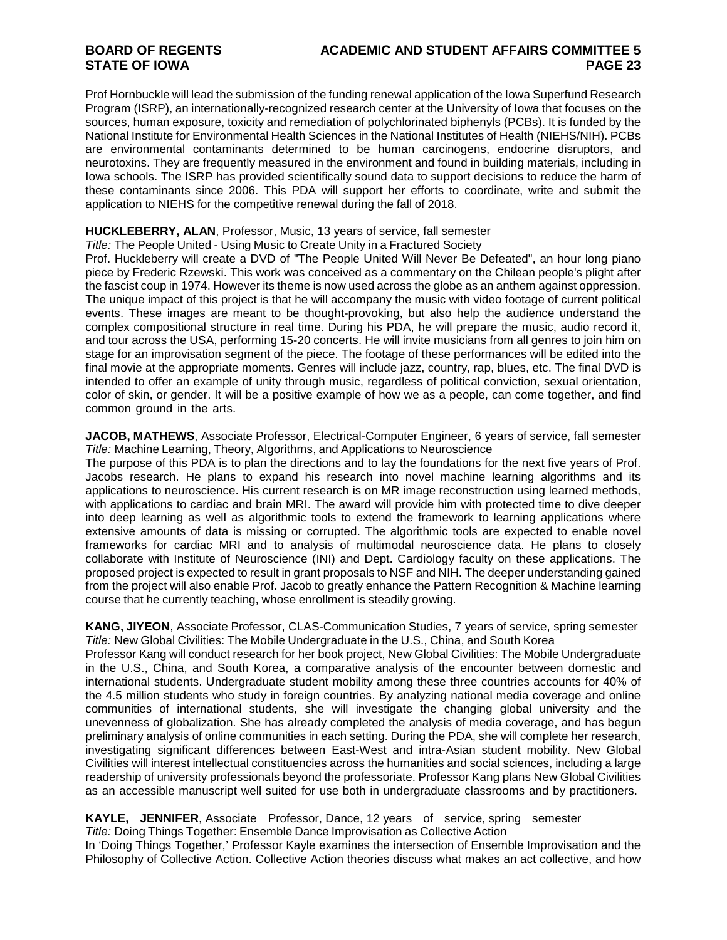## **BOARD OF REGENTS ACADEMIC AND STUDENT AFFAIRS COMMITTEE 5**

Prof Hornbuckle will lead the submission of the funding renewal application of the Iowa Superfund Research Program (ISRP), an internationally-recognized research center at the University of Iowa that focuses on the sources, human exposure, toxicity and remediation of polychlorinated biphenyls (PCBs). It is funded by the National Institute for Environmental Health Sciences in the National Institutes of Health (NIEHS/NIH). PCBs are environmental contaminants determined to be human carcinogens, endocrine disruptors, and neurotoxins. They are frequently measured in the environment and found in building materials, including in Iowa schools. The ISRP has provided scientifically sound data to support decisions to reduce the harm of these contaminants since 2006. This PDA will support her efforts to coordinate, write and submit the application to NIEHS for the competitive renewal during the fall of 2018.

#### **HUCKLEBERRY, ALAN**, Professor, Music, 13 years of service, fall semester

*Title:* The People United - Using Music to Create Unity in a Fractured Society

Prof. Huckleberry will create a DVD of "The People United Will Never Be Defeated", an hour long piano piece by Frederic Rzewski. This work was conceived as a commentary on the Chilean people's plight after the fascist coup in 1974. However its theme is now used across the globe as an anthem against oppression. The unique impact of this project is that he will accompany the music with video footage of current political events. These images are meant to be thought-provoking, but also help the audience understand the complex compositional structure in real time. During his PDA, he will prepare the music, audio record it, and tour across the USA, performing 15-20 concerts. He will invite musicians from all genres to join him on stage for an improvisation segment of the piece. The footage of these performances will be edited into the final movie at the appropriate moments. Genres will include jazz, country, rap, blues, etc. The final DVD is intended to offer an example of unity through music, regardless of political conviction, sexual orientation, color of skin, or gender. It will be a positive example of how we as a people, can come together, and find common ground in the arts.

**JACOB, MATHEWS**, Associate Professor, Electrical-Computer Engineer, 6 years of service, fall semester *Title:* Machine Learning, Theory, Algorithms, and Applications to Neuroscience

The purpose of this PDA is to plan the directions and to lay the foundations for the next five years of Prof. Jacobs research. He plans to expand his research into novel machine learning algorithms and its applications to neuroscience. His current research is on MR image reconstruction using learned methods, with applications to cardiac and brain MRI. The award will provide him with protected time to dive deeper into deep learning as well as algorithmic tools to extend the framework to learning applications where extensive amounts of data is missing or corrupted. The algorithmic tools are expected to enable novel frameworks for cardiac MRI and to analysis of multimodal neuroscience data. He plans to closely collaborate with Institute of Neuroscience (INI) and Dept. Cardiology faculty on these applications. The proposed project is expected to result in grant proposals to NSF and NIH. The deeper understanding gained from the project will also enable Prof. Jacob to greatly enhance the Pattern Recognition & Machine learning course that he currently teaching, whose enrollment is steadily growing.

**KANG, JIYEON**, Associate Professor, CLAS-Communication Studies, 7 years of service, spring semester *Title:* New Global Civilities: The Mobile Undergraduate in the U.S., China, and South Korea

Professor Kang will conduct research for her book project, New Global Civilities: The Mobile Undergraduate in the U.S., China, and South Korea, a comparative analysis of the encounter between domestic and international students. Undergraduate student mobility among these three countries accounts for 40% of the 4.5 million students who study in foreign countries. By analyzing national media coverage and online communities of international students, she will investigate the changing global university and the unevenness of globalization. She has already completed the analysis of media coverage, and has begun preliminary analysis of online communities in each setting. During the PDA, she will complete her research, investigating significant differences between East-West and intra-Asian student mobility. New Global Civilities will interest intellectual constituencies across the humanities and social sciences, including a large readership of university professionals beyond the professoriate. Professor Kang plans New Global Civilities as an accessible manuscript well suited for use both in undergraduate classrooms and by practitioners.

#### **KAYLE, JENNIFER**, Associate Professor, Dance, 12 years of service, spring semester *Title:* Doing Things Together: Ensemble Dance Improvisation as Collective Action

In 'Doing Things Together,' Professor Kayle examines the intersection of Ensemble Improvisation and the Philosophy of Collective Action. Collective Action theories discuss what makes an act collective, and how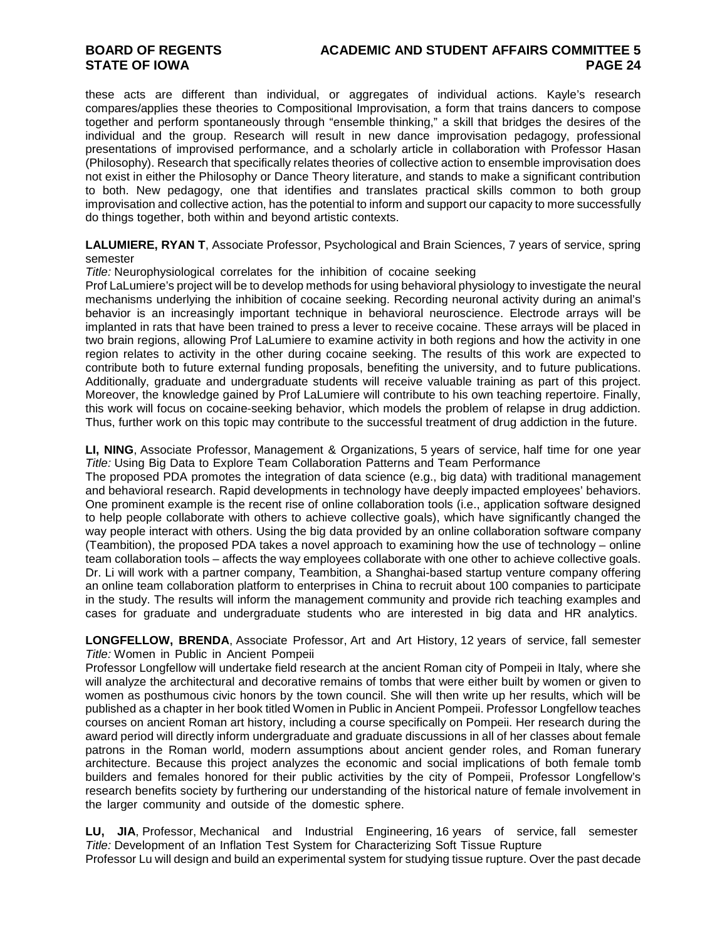## **BOARD OF REGENTS ACADEMIC AND STUDENT AFFAIRS COMMITTEE 5**

these acts are different than individual, or aggregates of individual actions. Kayle's research compares/applies these theories to Compositional Improvisation, a form that trains dancers to compose together and perform spontaneously through "ensemble thinking," a skill that bridges the desires of the individual and the group. Research will result in new dance improvisation pedagogy, professional presentations of improvised performance, and a scholarly article in collaboration with Professor Hasan (Philosophy). Research that specifically relates theories of collective action to ensemble improvisation does not exist in either the Philosophy or Dance Theory literature, and stands to make a significant contribution to both. New pedagogy, one that identifies and translates practical skills common to both group improvisation and collective action, has the potential to inform and support our capacity to more successfully do things together, both within and beyond artistic contexts.

**LALUMIERE, RYAN T**, Associate Professor, Psychological and Brain Sciences, 7 years of service, spring semester

*Title:* Neurophysiological correlates for the inhibition of cocaine seeking

Prof LaLumiere's project will be to develop methods for using behavioral physiology to investigate the neural mechanisms underlying the inhibition of cocaine seeking. Recording neuronal activity during an animal's behavior is an increasingly important technique in behavioral neuroscience. Electrode arrays will be implanted in rats that have been trained to press a lever to receive cocaine. These arrays will be placed in two brain regions, allowing Prof LaLumiere to examine activity in both regions and how the activity in one region relates to activity in the other during cocaine seeking. The results of this work are expected to contribute both to future external funding proposals, benefiting the university, and to future publications. Additionally, graduate and undergraduate students will receive valuable training as part of this project. Moreover, the knowledge gained by Prof LaLumiere will contribute to his own teaching repertoire. Finally, this work will focus on cocaine-seeking behavior, which models the problem of relapse in drug addiction. Thus, further work on this topic may contribute to the successful treatment of drug addiction in the future.

**LI, NING**, Associate Professor, Management & Organizations, 5 years of service, half time for one year *Title:* Using Big Data to Explore Team Collaboration Patterns and Team Performance

The proposed PDA promotes the integration of data science (e.g., big data) with traditional management and behavioral research. Rapid developments in technology have deeply impacted employees' behaviors. One prominent example is the recent rise of online collaboration tools (i.e., application software designed to help people collaborate with others to achieve collective goals), which have significantly changed the way people interact with others. Using the big data provided by an online collaboration software company (Teambition), the proposed PDA takes a novel approach to examining how the use of technology – online team collaboration tools – affects the way employees collaborate with one other to achieve collective goals. Dr. Li will work with a partner company, Teambition, a Shanghai-based startup venture company offering an online team collaboration platform to enterprises in China to recruit about 100 companies to participate in the study. The results will inform the management community and provide rich teaching examples and cases for graduate and undergraduate students who are interested in big data and HR analytics.

**LONGFELLOW, BRENDA**, Associate Professor, Art and Art History, 12 years of service, fall semester *Title:* Women in Public in Ancient Pompeii

Professor Longfellow will undertake field research at the ancient Roman city of Pompeii in Italy, where she will analyze the architectural and decorative remains of tombs that were either built by women or given to women as posthumous civic honors by the town council. She will then write up her results, which will be published as a chapter in her book titled Women in Public in Ancient Pompeii. Professor Longfellow teaches courses on ancient Roman art history, including a course specifically on Pompeii. Her research during the award period will directly inform undergraduate and graduate discussions in all of her classes about female patrons in the Roman world, modern assumptions about ancient gender roles, and Roman funerary architecture. Because this project analyzes the economic and social implications of both female tomb builders and females honored for their public activities by the city of Pompeii, Professor Longfellow's research benefits society by furthering our understanding of the historical nature of female involvement in the larger community and outside of the domestic sphere.

**LU, JIA**, Professor, Mechanical and Industrial Engineering, 16 years of service, fall semester *Title:* Development of an Inflation Test System for Characterizing Soft Tissue Rupture Professor Lu will design and build an experimental system for studying tissue rupture. Over the past decade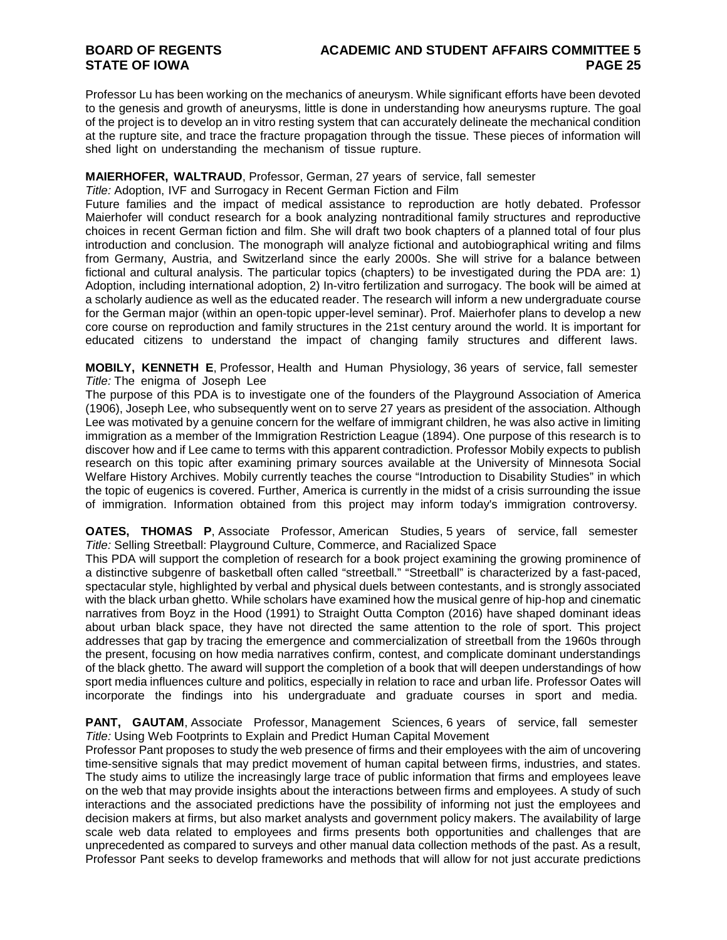## **BOARD OF REGENTS ACADEMIC AND STUDENT AFFAIRS COMMITTEE 5**

Professor Lu has been working on the mechanics of aneurysm. While significant efforts have been devoted to the genesis and growth of aneurysms, little is done in understanding how aneurysms rupture. The goal of the project is to develop an in vitro resting system that can accurately delineate the mechanical condition at the rupture site, and trace the fracture propagation through the tissue. These pieces of information will shed light on understanding the mechanism of tissue rupture.

### **MAIERHOFER, WALTRAUD**, Professor, German, 27 years of service, fall semester

*Title:* Adoption, IVF and Surrogacy in Recent German Fiction and Film

Future families and the impact of medical assistance to reproduction are hotly debated. Professor Maierhofer will conduct research for a book analyzing nontraditional family structures and reproductive choices in recent German fiction and film. She will draft two book chapters of a planned total of four plus introduction and conclusion. The monograph will analyze fictional and autobiographical writing and films from Germany, Austria, and Switzerland since the early 2000s. She will strive for a balance between fictional and cultural analysis. The particular topics (chapters) to be investigated during the PDA are: 1) Adoption, including international adoption, 2) In-vitro fertilization and surrogacy. The book will be aimed at a scholarly audience as well as the educated reader. The research will inform a new undergraduate course for the German major (within an open-topic upper-level seminar). Prof. Maierhofer plans to develop a new core course on reproduction and family structures in the 21st century around the world. It is important for educated citizens to understand the impact of changing family structures and different laws.

**MOBILY, KENNETH E**, Professor, Health and Human Physiology, 36 years of service, fall semester *Title:* The enigma of Joseph Lee

The purpose of this PDA is to investigate one of the founders of the Playground Association of America (1906), Joseph Lee, who subsequently went on to serve 27 years as president of the association. Although Lee was motivated by a genuine concern for the welfare of immigrant children, he was also active in limiting immigration as a member of the Immigration Restriction League (1894). One purpose of this research is to discover how and if Lee came to terms with this apparent contradiction. Professor Mobily expects to publish research on this topic after examining primary sources available at the University of Minnesota Social Welfare History Archives. Mobily currently teaches the course "Introduction to Disability Studies" in which the topic of eugenics is covered. Further, America is currently in the midst of a crisis surrounding the issue of immigration. Information obtained from this project may inform today's immigration controversy.

**OATES, THOMAS P**, Associate Professor, American Studies, 5 years of service, fall semester *Title:* Selling Streetball: Playground Culture, Commerce, and Racialized Space

This PDA will support the completion of research for a book project examining the growing prominence of a distinctive subgenre of basketball often called "streetball." "Streetball" is characterized by a fast-paced, spectacular style, highlighted by verbal and physical duels between contestants, and is strongly associated with the black urban ghetto. While scholars have examined how the musical genre of hip-hop and cinematic narratives from Boyz in the Hood (1991) to Straight Outta Compton (2016) have shaped dominant ideas about urban black space, they have not directed the same attention to the role of sport. This project addresses that gap by tracing the emergence and commercialization of streetball from the 1960s through the present, focusing on how media narratives confirm, contest, and complicate dominant understandings of the black ghetto. The award will support the completion of a book that will deepen understandings of how sport media influences culture and politics, especially in relation to race and urban life. Professor Oates will incorporate the findings into his undergraduate and graduate courses in sport and media.

**PANT, GAUTAM, Associate Professor, Management Sciences, 6 years of service, fall semester** *Title:* Using Web Footprints to Explain and Predict Human Capital Movement

Professor Pant proposes to study the web presence of firms and their employees with the aim of uncovering time-sensitive signals that may predict movement of human capital between firms, industries, and states. The study aims to utilize the increasingly large trace of public information that firms and employees leave on the web that may provide insights about the interactions between firms and employees. A study of such interactions and the associated predictions have the possibility of informing not just the employees and decision makers at firms, but also market analysts and government policy makers. The availability of large scale web data related to employees and firms presents both opportunities and challenges that are unprecedented as compared to surveys and other manual data collection methods of the past. As a result, Professor Pant seeks to develop frameworks and methods that will allow for not just accurate predictions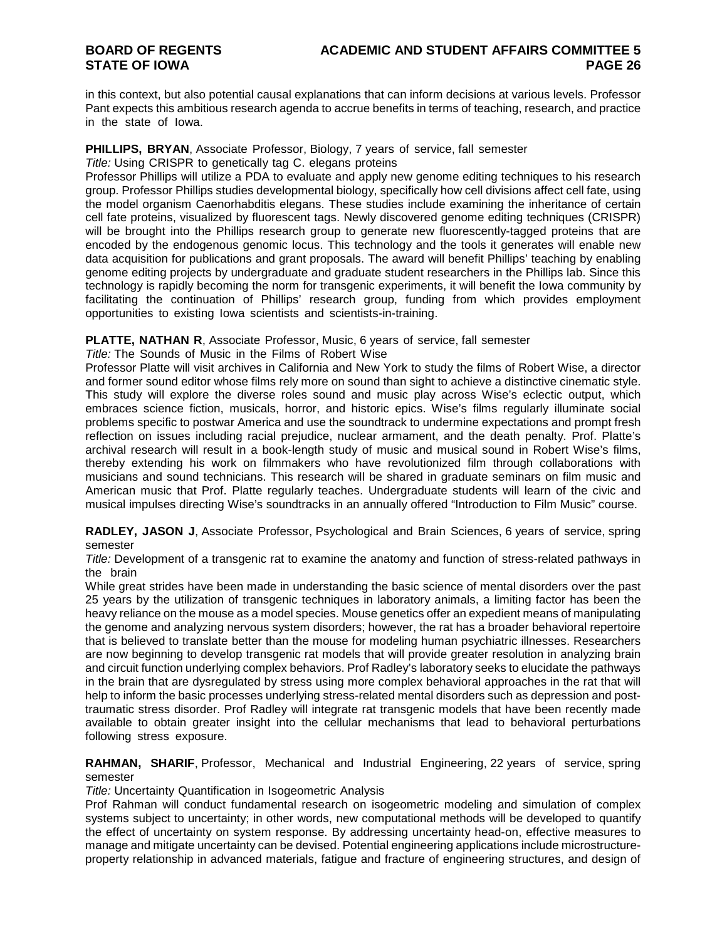in this context, but also potential causal explanations that can inform decisions at various levels. Professor Pant expects this ambitious research agenda to accrue benefits in terms of teaching, research, and practice in the state of Iowa.

#### **PHILLIPS, BRYAN**, Associate Professor, Biology, 7 years of service, fall semester *Title:* Using CRISPR to genetically tag C. elegans proteins

Professor Phillips will utilize a PDA to evaluate and apply new genome editing techniques to his research group. Professor Phillips studies developmental biology, specifically how cell divisions affect cell fate, using the model organism Caenorhabditis elegans. These studies include examining the inheritance of certain cell fate proteins, visualized by fluorescent tags. Newly discovered genome editing techniques (CRISPR) will be brought into the Phillips research group to generate new fluorescently-tagged proteins that are encoded by the endogenous genomic locus. This technology and the tools it generates will enable new data acquisition for publications and grant proposals. The award will benefit Phillips' teaching by enabling genome editing projects by undergraduate and graduate student researchers in the Phillips lab. Since this technology is rapidly becoming the norm for transgenic experiments, it will benefit the Iowa community by facilitating the continuation of Phillips' research group, funding from which provides employment opportunities to existing Iowa scientists and scientists-in-training.

**PLATTE, NATHAN R**, Associate Professor, Music, 6 years of service, fall semester

*Title:* The Sounds of Music in the Films of Robert Wise

Professor Platte will visit archives in California and New York to study the films of Robert Wise, a director and former sound editor whose films rely more on sound than sight to achieve a distinctive cinematic style. This study will explore the diverse roles sound and music play across Wise's eclectic output, which embraces science fiction, musicals, horror, and historic epics. Wise's films regularly illuminate social problems specific to postwar America and use the soundtrack to undermine expectations and prompt fresh reflection on issues including racial prejudice, nuclear armament, and the death penalty. Prof. Platte's archival research will result in a book-length study of music and musical sound in Robert Wise's films, thereby extending his work on filmmakers who have revolutionized film through collaborations with musicians and sound technicians. This research will be shared in graduate seminars on film music and American music that Prof. Platte regularly teaches. Undergraduate students will learn of the civic and musical impulses directing Wise's soundtracks in an annually offered "Introduction to Film Music" course.

**RADLEY, JASON J**, Associate Professor, Psychological and Brain Sciences, 6 years of service, spring semester

*Title:* Development of a transgenic rat to examine the anatomy and function of stress-related pathways in the brain

While great strides have been made in understanding the basic science of mental disorders over the past 25 years by the utilization of transgenic techniques in laboratory animals, a limiting factor has been the heavy reliance on the mouse as a model species. Mouse genetics offer an expedient means of manipulating the genome and analyzing nervous system disorders; however, the rat has a broader behavioral repertoire that is believed to translate better than the mouse for modeling human psychiatric illnesses. Researchers are now beginning to develop transgenic rat models that will provide greater resolution in analyzing brain and circuit function underlying complex behaviors. Prof Radley's laboratory seeks to elucidate the pathways in the brain that are dysregulated by stress using more complex behavioral approaches in the rat that will help to inform the basic processes underlying stress-related mental disorders such as depression and posttraumatic stress disorder. Prof Radley will integrate rat transgenic models that have been recently made available to obtain greater insight into the cellular mechanisms that lead to behavioral perturbations following stress exposure.

**RAHMAN, SHARIF**, Professor, Mechanical and Industrial Engineering, 22 years of service, spring semester

*Title:* Uncertainty Quantification in Isogeometric Analysis

Prof Rahman will conduct fundamental research on isogeometric modeling and simulation of complex systems subject to uncertainty; in other words, new computational methods will be developed to quantify the effect of uncertainty on system response. By addressing uncertainty head-on, effective measures to manage and mitigate uncertainty can be devised. Potential engineering applications include microstructureproperty relationship in advanced materials, fatigue and fracture of engineering structures, and design of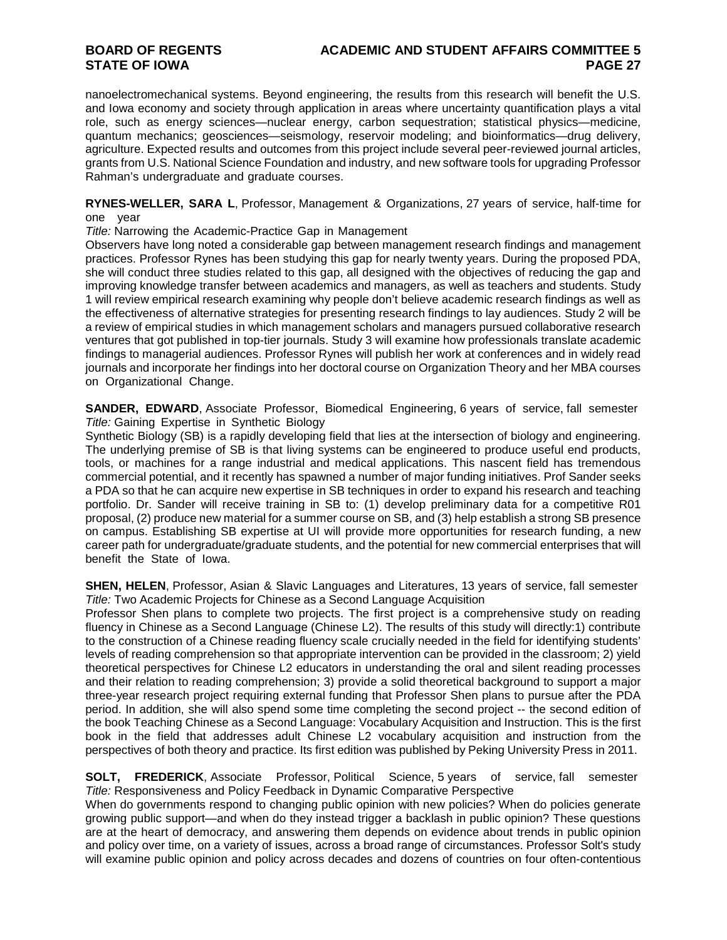## **BOARD OF REGENTS ACADEMIC AND STUDENT AFFAIRS COMMITTEE 5**

nanoelectromechanical systems. Beyond engineering, the results from this research will benefit the U.S. and Iowa economy and society through application in areas where uncertainty quantification plays a vital role, such as energy sciences—nuclear energy, carbon sequestration; statistical physics—medicine, quantum mechanics; geosciences—seismology, reservoir modeling; and bioinformatics—drug delivery, agriculture. Expected results and outcomes from this project include several peer-reviewed journal articles, grants from U.S. National Science Foundation and industry, and new software tools for upgrading Professor Rahman's undergraduate and graduate courses.

**RYNES-WELLER, SARA L**, Professor, Management & Organizations, 27 years of service, half-time for one year

*Title:* Narrowing the Academic-Practice Gap in Management

Observers have long noted a considerable gap between management research findings and management practices. Professor Rynes has been studying this gap for nearly twenty years. During the proposed PDA, she will conduct three studies related to this gap, all designed with the objectives of reducing the gap and improving knowledge transfer between academics and managers, as well as teachers and students. Study 1 will review empirical research examining why people don't believe academic research findings as well as the effectiveness of alternative strategies for presenting research findings to lay audiences. Study 2 will be a review of empirical studies in which management scholars and managers pursued collaborative research ventures that got published in top-tier journals. Study 3 will examine how professionals translate academic findings to managerial audiences. Professor Rynes will publish her work at conferences and in widely read journals and incorporate her findings into her doctoral course on Organization Theory and her MBA courses on Organizational Change.

**SANDER, EDWARD**, Associate Professor, Biomedical Engineering, 6 years of service, fall semester *Title:* Gaining Expertise in Synthetic Biology

Synthetic Biology (SB) is a rapidly developing field that lies at the intersection of biology and engineering. The underlying premise of SB is that living systems can be engineered to produce useful end products, tools, or machines for a range industrial and medical applications. This nascent field has tremendous commercial potential, and it recently has spawned a number of major funding initiatives. Prof Sander seeks a PDA so that he can acquire new expertise in SB techniques in order to expand his research and teaching portfolio. Dr. Sander will receive training in SB to: (1) develop preliminary data for a competitive R01 proposal, (2) produce new material for a summer course on SB, and (3) help establish a strong SB presence on campus. Establishing SB expertise at UI will provide more opportunities for research funding, a new career path for undergraduate/graduate students, and the potential for new commercial enterprises that will benefit the State of Iowa.

**SHEN, HELEN**, Professor, Asian & Slavic Languages and Literatures, 13 years of service, fall semester *Title:* Two Academic Projects for Chinese as a Second Language Acquisition

Professor Shen plans to complete two projects. The first project is a comprehensive study on reading fluency in Chinese as a Second Language (Chinese L2). The results of this study will directly:1) contribute to the construction of a Chinese reading fluency scale crucially needed in the field for identifying students' levels of reading comprehension so that appropriate intervention can be provided in the classroom; 2) yield theoretical perspectives for Chinese L2 educators in understanding the oral and silent reading processes and their relation to reading comprehension; 3) provide a solid theoretical background to support a major three-year research project requiring external funding that Professor Shen plans to pursue after the PDA period. In addition, she will also spend some time completing the second project -- the second edition of the book Teaching Chinese as a Second Language: Vocabulary Acquisition and Instruction. This is the first book in the field that addresses adult Chinese L2 vocabulary acquisition and instruction from the perspectives of both theory and practice. Its first edition was published by Peking University Press in 2011.

**SOLT, FREDERICK**, Associate Professor, Political Science, 5 years of service, fall semester *Title:* Responsiveness and Policy Feedback in Dynamic Comparative Perspective

When do governments respond to changing public opinion with new policies? When do policies generate growing public support—and when do they instead trigger a backlash in public opinion? These questions are at the heart of democracy, and answering them depends on evidence about trends in public opinion and policy over time, on a variety of issues, across a broad range of circumstances. Professor Solt's study will examine public opinion and policy across decades and dozens of countries on four often-contentious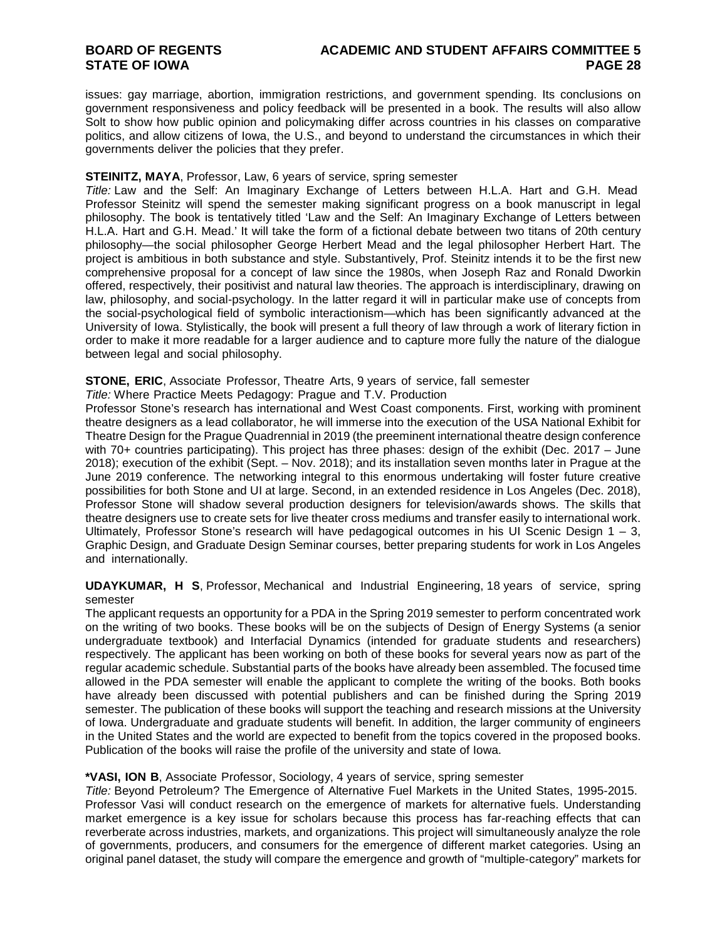## **BOARD OF REGENTS ACADEMIC AND STUDENT AFFAIRS COMMITTEE 5**

issues: gay marriage, abortion, immigration restrictions, and government spending. Its conclusions on government responsiveness and policy feedback will be presented in a book. The results will also allow Solt to show how public opinion and policymaking differ across countries in his classes on comparative politics, and allow citizens of Iowa, the U.S., and beyond to understand the circumstances in which their governments deliver the policies that they prefer.

#### **STEINITZ, MAYA**, Professor, Law, 6 years of service, spring semester

*Title:* Law and the Self: An Imaginary Exchange of Letters between H.L.A. Hart and G.H. Mead Professor Steinitz will spend the semester making significant progress on a book manuscript in legal philosophy. The book is tentatively titled 'Law and the Self: An Imaginary Exchange of Letters between H.L.A. Hart and G.H. Mead.' It will take the form of a fictional debate between two titans of 20th century philosophy—the social philosopher George Herbert Mead and the legal philosopher Herbert Hart. The project is ambitious in both substance and style. Substantively, Prof. Steinitz intends it to be the first new comprehensive proposal for a concept of law since the 1980s, when Joseph Raz and Ronald Dworkin offered, respectively, their positivist and natural law theories. The approach is interdisciplinary, drawing on law, philosophy, and social-psychology. In the latter regard it will in particular make use of concepts from the social-psychological field of symbolic interactionism—which has been significantly advanced at the University of Iowa. Stylistically, the book will present a full theory of law through a work of literary fiction in order to make it more readable for a larger audience and to capture more fully the nature of the dialogue between legal and social philosophy.

#### **STONE, ERIC**, Associate Professor, Theatre Arts, 9 years of service, fall semester

*Title:* Where Practice Meets Pedagogy: Prague and T.V. Production

Professor Stone's research has international and West Coast components. First, working with prominent theatre designers as a lead collaborator, he will immerse into the execution of the USA National Exhibit for Theatre Design for the Prague Quadrennial in 2019 (the preeminent international theatre design conference with 70+ countries participating). This project has three phases: design of the exhibit (Dec. 2017 – June 2018); execution of the exhibit (Sept. – Nov. 2018); and its installation seven months later in Prague at the June 2019 conference. The networking integral to this enormous undertaking will foster future creative possibilities for both Stone and UI at large. Second, in an extended residence in Los Angeles (Dec. 2018), Professor Stone will shadow several production designers for television/awards shows. The skills that theatre designers use to create sets for live theater cross mediums and transfer easily to international work. Ultimately, Professor Stone's research will have pedagogical outcomes in his UI Scenic Design  $1 - 3$ , Graphic Design, and Graduate Design Seminar courses, better preparing students for work in Los Angeles and internationally.

**UDAYKUMAR, H S**, Professor, Mechanical and Industrial Engineering, 18 years of service, spring semester

The applicant requests an opportunity for a PDA in the Spring 2019 semester to perform concentrated work on the writing of two books. These books will be on the subjects of Design of Energy Systems (a senior undergraduate textbook) and Interfacial Dynamics (intended for graduate students and researchers) respectively. The applicant has been working on both of these books for several years now as part of the regular academic schedule. Substantial parts of the books have already been assembled. The focused time allowed in the PDA semester will enable the applicant to complete the writing of the books. Both books have already been discussed with potential publishers and can be finished during the Spring 2019 semester. The publication of these books will support the teaching and research missions at the University of Iowa. Undergraduate and graduate students will benefit. In addition, the larger community of engineers in the United States and the world are expected to benefit from the topics covered in the proposed books. Publication of the books will raise the profile of the university and state of Iowa.

#### **\*VASI, ION B**, Associate Professor, Sociology, 4 years of service, spring semester

*Title:* Beyond Petroleum? The Emergence of Alternative Fuel Markets in the United States, 1995-2015. Professor Vasi will conduct research on the emergence of markets for alternative fuels. Understanding market emergence is a key issue for scholars because this process has far-reaching effects that can reverberate across industries, markets, and organizations. This project will simultaneously analyze the role of governments, producers, and consumers for the emergence of different market categories. Using an original panel dataset, the study will compare the emergence and growth of "multiple-category" markets for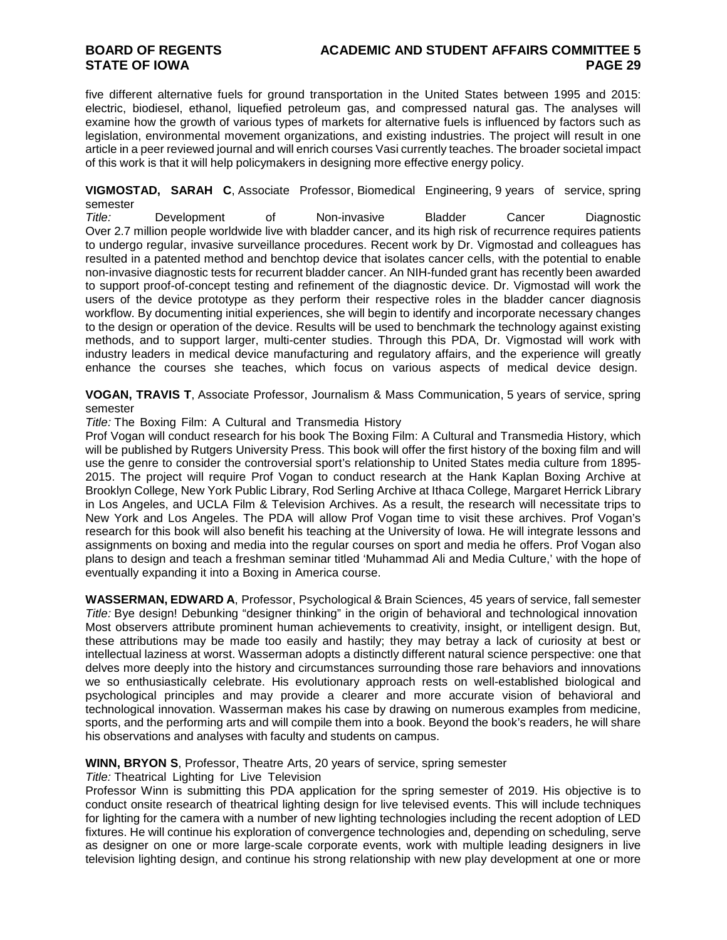## **BOARD OF REGENTS ACADEMIC AND STUDENT AFFAIRS COMMITTEE 5**

five different alternative fuels for ground transportation in the United States between 1995 and 2015: electric, biodiesel, ethanol, liquefied petroleum gas, and compressed natural gas. The analyses will examine how the growth of various types of markets for alternative fuels is influenced by factors such as legislation, environmental movement organizations, and existing industries. The project will result in one article in a peer reviewed journal and will enrich courses Vasi currently teaches. The broader societal impact of this work is that it will help policymakers in designing more effective energy policy.

**VIGMOSTAD, SARAH C**, Associate Professor, Biomedical Engineering, 9 years of service, spring semester

*Title:* Development of Non-invasive Bladder Cancer Diagnostic Over 2.7 million people worldwide live with bladder cancer, and its high risk of recurrence requires patients to undergo regular, invasive surveillance procedures. Recent work by Dr. Vigmostad and colleagues has resulted in a patented method and benchtop device that isolates cancer cells, with the potential to enable non-invasive diagnostic tests for recurrent bladder cancer. An NIH-funded grant has recently been awarded to support proof-of-concept testing and refinement of the diagnostic device. Dr. Vigmostad will work the users of the device prototype as they perform their respective roles in the bladder cancer diagnosis workflow. By documenting initial experiences, she will begin to identify and incorporate necessary changes to the design or operation of the device. Results will be used to benchmark the technology against existing methods, and to support larger, multi-center studies. Through this PDA, Dr. Vigmostad will work with industry leaders in medical device manufacturing and regulatory affairs, and the experience will greatly enhance the courses she teaches, which focus on various aspects of medical device design.

**VOGAN, TRAVIS T**, Associate Professor, Journalism & Mass Communication, 5 years of service, spring semester

*Title:* The Boxing Film: A Cultural and Transmedia History

Prof Vogan will conduct research for his book The Boxing Film: A Cultural and Transmedia History, which will be published by Rutgers University Press. This book will offer the first history of the boxing film and will use the genre to consider the controversial sport's relationship to United States media culture from 1895- 2015. The project will require Prof Vogan to conduct research at the Hank Kaplan Boxing Archive at Brooklyn College, New York Public Library, Rod Serling Archive at Ithaca College, Margaret Herrick Library in Los Angeles, and UCLA Film & Television Archives. As a result, the research will necessitate trips to New York and Los Angeles. The PDA will allow Prof Vogan time to visit these archives. Prof Vogan's research for this book will also benefit his teaching at the University of Iowa. He will integrate lessons and assignments on boxing and media into the regular courses on sport and media he offers. Prof Vogan also plans to design and teach a freshman seminar titled 'Muhammad Ali and Media Culture,' with the hope of eventually expanding it into a Boxing in America course.

**WASSERMAN, EDWARD A**, Professor, Psychological & Brain Sciences, 45 years of service, fall semester *Title:* Bye design! Debunking "designer thinking" in the origin of behavioral and technological innovation Most observers attribute prominent human achievements to creativity, insight, or intelligent design. But, these attributions may be made too easily and hastily; they may betray a lack of curiosity at best or intellectual laziness at worst. Wasserman adopts a distinctly different natural science perspective: one that delves more deeply into the history and circumstances surrounding those rare behaviors and innovations we so enthusiastically celebrate. His evolutionary approach rests on well-established biological and psychological principles and may provide a clearer and more accurate vision of behavioral and technological innovation. Wasserman makes his case by drawing on numerous examples from medicine, sports, and the performing arts and will compile them into a book. Beyond the book's readers, he will share his observations and analyses with faculty and students on campus.

#### **WINN, BRYON S**, Professor, Theatre Arts, 20 years of service, spring semester

*Title:* Theatrical Lighting for Live Television

Professor Winn is submitting this PDA application for the spring semester of 2019. His objective is to conduct onsite research of theatrical lighting design for live televised events. This will include techniques for lighting for the camera with a number of new lighting technologies including the recent adoption of LED fixtures. He will continue his exploration of convergence technologies and, depending on scheduling, serve as designer on one or more large-scale corporate events, work with multiple leading designers in live television lighting design, and continue his strong relationship with new play development at one or more